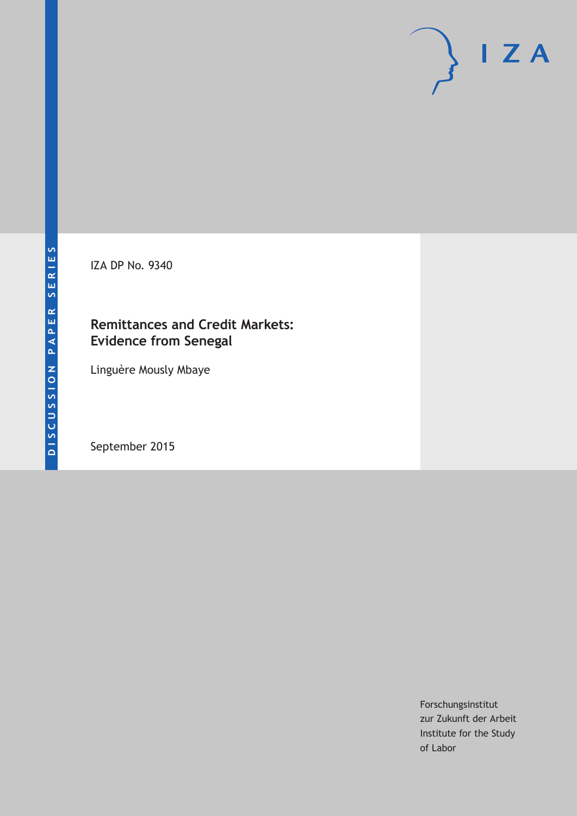IZA DP No. 9340

## **Remittances and Credit Markets: Evidence from Senegal**

Linguère Mously Mbaye

September 2015

Forschungsinstitut zur Zukunft der Arbeit Institute for the Study of Labor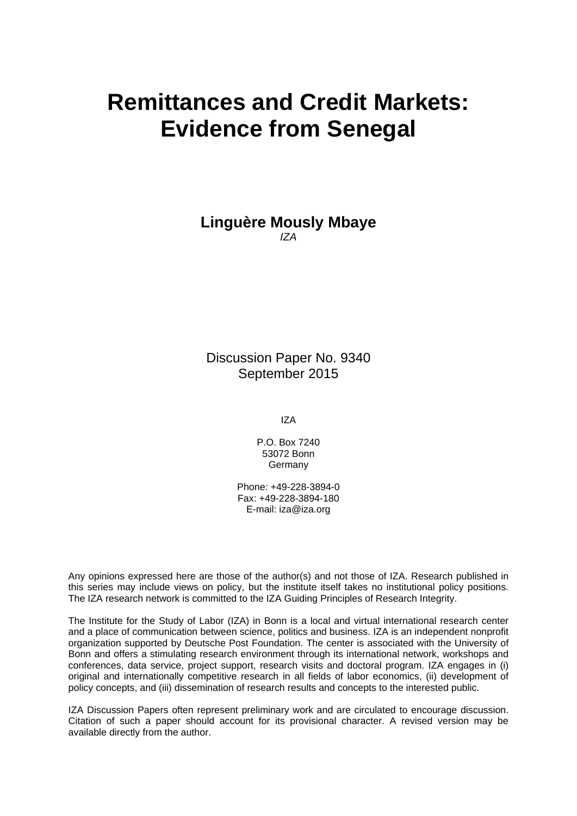# **Remittances and Credit Markets: Evidence from Senegal**

**Linguère Mously Mbaye**  *IZA* 

Discussion Paper No. 9340 September 2015

IZA

P.O. Box 7240 53072 Bonn Germany

Phone: +49-228-3894-0 Fax: +49-228-3894-180 E-mail: iza@iza.org

Any opinions expressed here are those of the author(s) and not those of IZA. Research published in this series may include views on policy, but the institute itself takes no institutional policy positions. The IZA research network is committed to the IZA Guiding Principles of Research Integrity.

The Institute for the Study of Labor (IZA) in Bonn is a local and virtual international research center and a place of communication between science, politics and business. IZA is an independent nonprofit organization supported by Deutsche Post Foundation. The center is associated with the University of Bonn and offers a stimulating research environment through its international network, workshops and conferences, data service, project support, research visits and doctoral program. IZA engages in (i) original and internationally competitive research in all fields of labor economics, (ii) development of policy concepts, and (iii) dissemination of research results and concepts to the interested public.

IZA Discussion Papers often represent preliminary work and are circulated to encourage discussion. Citation of such a paper should account for its provisional character. A revised version may be available directly from the author.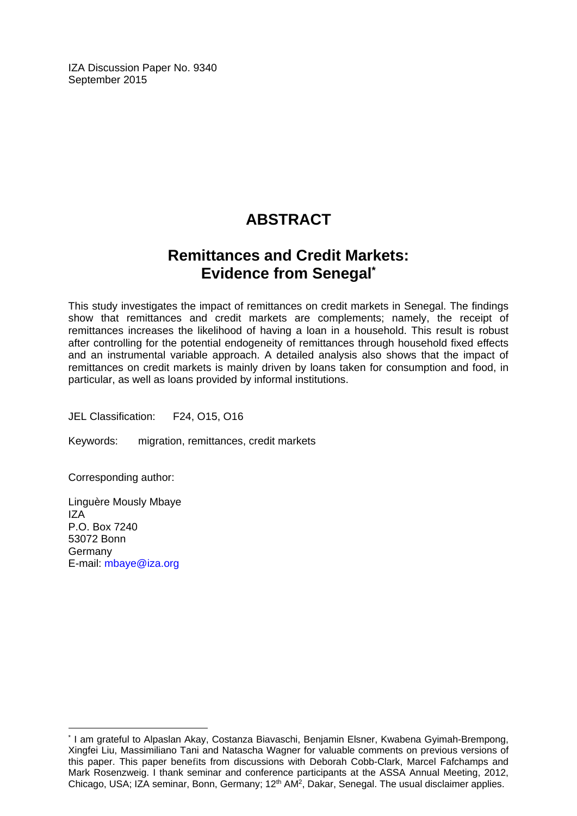IZA Discussion Paper No. 9340 September 2015

## **ABSTRACT**

## **Remittances and Credit Markets: Evidence from Senegal\***

This study investigates the impact of remittances on credit markets in Senegal. The findings show that remittances and credit markets are complements; namely, the receipt of remittances increases the likelihood of having a loan in a household. This result is robust after controlling for the potential endogeneity of remittances through household fixed effects and an instrumental variable approach. A detailed analysis also shows that the impact of remittances on credit markets is mainly driven by loans taken for consumption and food, in particular, as well as loans provided by informal institutions.

JEL Classification: F24, O15, O16

Keywords: migration, remittances, credit markets

Corresponding author:

Linguère Mously Mbaye IZA P.O. Box 7240 53072 Bonn Germany E-mail: mbaye@iza.org

 $\overline{\phantom{a}}$ 

<sup>\*</sup> I am grateful to Alpaslan Akay, Costanza Biavaschi, Benjamin Elsner, Kwabena Gyimah-Brempong, Xingfei Liu, Massimiliano Tani and Natascha Wagner for valuable comments on previous versions of this paper. This paper benefits from discussions with Deborah Cobb-Clark, Marcel Fafchamps and Mark Rosenzweig. I thank seminar and conference participants at the ASSA Annual Meeting, 2012, Chicago, USA; IZA seminar, Bonn, Germany; 12<sup>th</sup> AM<sup>2</sup>, Dakar, Senegal. The usual disclaimer applies.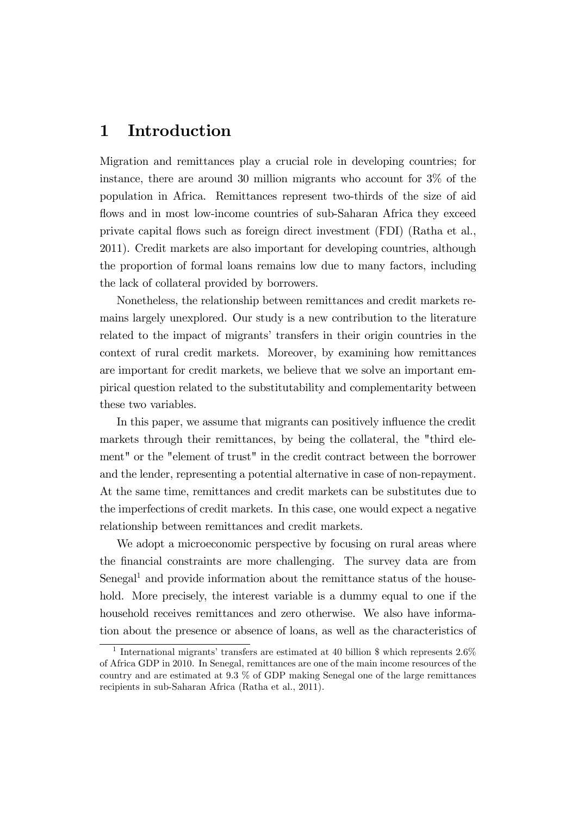## 1 Introduction

Migration and remittances play a crucial role in developing countries; for instance, there are around 30 million migrants who account for 3% of the population in Africa. Remittances represent two-thirds of the size of aid flows and in most low-income countries of sub-Saharan Africa they exceed private capital áows such as foreign direct investment (FDI) (Ratha et al., 2011). Credit markets are also important for developing countries, although the proportion of formal loans remains low due to many factors, including the lack of collateral provided by borrowers.

Nonetheless, the relationship between remittances and credit markets remains largely unexplored. Our study is a new contribution to the literature related to the impact of migrants' transfers in their origin countries in the context of rural credit markets. Moreover, by examining how remittances are important for credit markets, we believe that we solve an important empirical question related to the substitutability and complementarity between these two variables.

In this paper, we assume that migrants can positively influence the credit markets through their remittances, by being the collateral, the "third element" or the "element of trust" in the credit contract between the borrower and the lender, representing a potential alternative in case of non-repayment. At the same time, remittances and credit markets can be substitutes due to the imperfections of credit markets. In this case, one would expect a negative relationship between remittances and credit markets.

We adopt a microeconomic perspective by focusing on rural areas where the financial constraints are more challenging. The survey data are from Senegal<sup>1</sup> and provide information about the remittance status of the household. More precisely, the interest variable is a dummy equal to one if the household receives remittances and zero otherwise. We also have information about the presence or absence of loans, as well as the characteristics of

<sup>&</sup>lt;sup>1</sup> International migrants' transfers are estimated at 40 billion  $\frac{1}{2}$  which represents 2.6% of Africa GDP in 2010. In Senegal, remittances are one of the main income resources of the country and are estimated at 9.3 % of GDP making Senegal one of the large remittances recipients in sub-Saharan Africa (Ratha et al., 2011).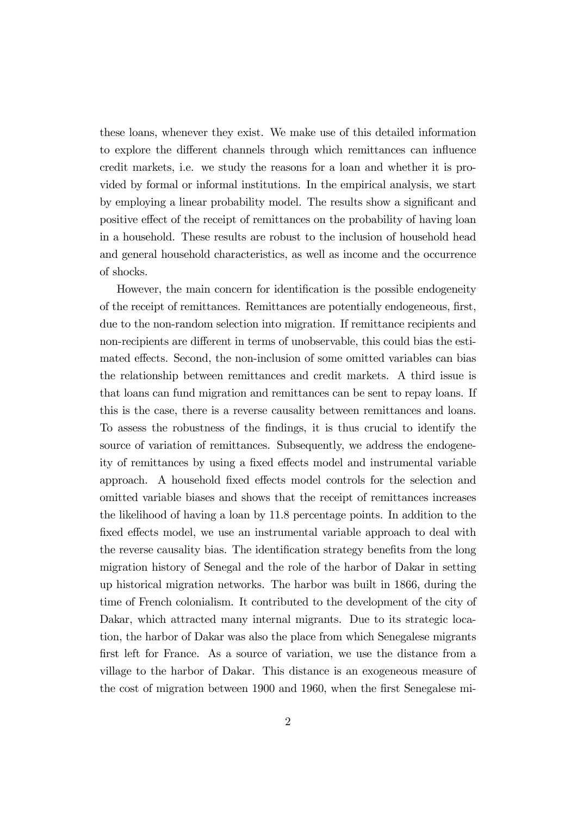these loans, whenever they exist. We make use of this detailed information to explore the different channels through which remittances can influence credit markets, i.e. we study the reasons for a loan and whether it is provided by formal or informal institutions. In the empirical analysis, we start by employing a linear probability model. The results show a significant and positive effect of the receipt of remittances on the probability of having loan in a household. These results are robust to the inclusion of household head and general household characteristics, as well as income and the occurrence of shocks.

However, the main concern for identification is the possible endogeneity of the receipt of remittances. Remittances are potentially endogeneous, Örst, due to the non-random selection into migration. If remittance recipients and non-recipients are different in terms of unobservable, this could bias the estimated effects. Second, the non-inclusion of some omitted variables can bias the relationship between remittances and credit markets. A third issue is that loans can fund migration and remittances can be sent to repay loans. If this is the case, there is a reverse causality between remittances and loans. To assess the robustness of the Öndings, it is thus crucial to identify the source of variation of remittances. Subsequently, we address the endogeneity of remittances by using a fixed effects model and instrumental variable approach. A household fixed effects model controls for the selection and omitted variable biases and shows that the receipt of remittances increases the likelihood of having a loan by 11.8 percentage points. In addition to the fixed effects model, we use an instrumental variable approach to deal with the reverse causality bias. The identification strategy benefits from the long migration history of Senegal and the role of the harbor of Dakar in setting up historical migration networks. The harbor was built in 1866, during the time of French colonialism. It contributed to the development of the city of Dakar, which attracted many internal migrants. Due to its strategic location, the harbor of Dakar was also the place from which Senegalese migrants first left for France. As a source of variation, we use the distance from a village to the harbor of Dakar. This distance is an exogeneous measure of the cost of migration between 1900 and 1960, when the first Senegalese mi-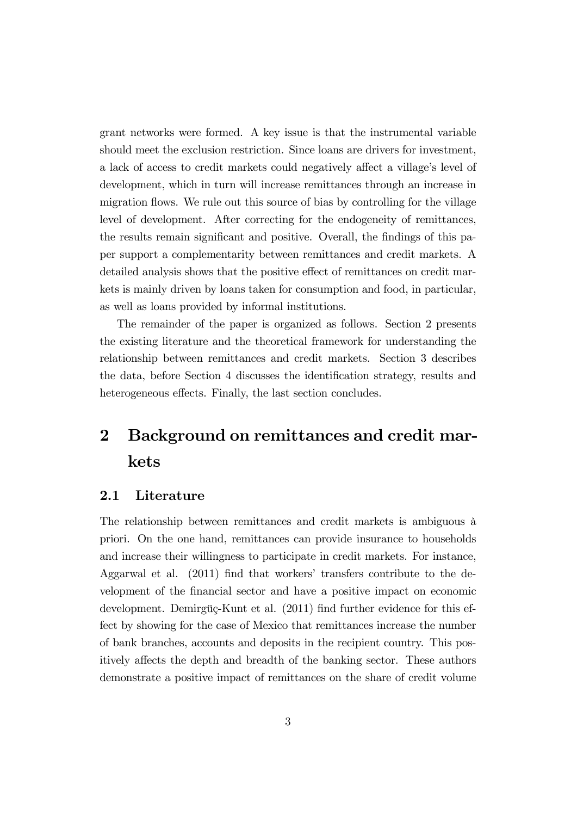grant networks were formed. A key issue is that the instrumental variable should meet the exclusion restriction. Since loans are drivers for investment, a lack of access to credit markets could negatively affect a village's level of development, which in turn will increase remittances through an increase in migration flows. We rule out this source of bias by controlling for the village level of development. After correcting for the endogeneity of remittances, the results remain significant and positive. Overall, the findings of this paper support a complementarity between remittances and credit markets. A detailed analysis shows that the positive effect of remittances on credit markets is mainly driven by loans taken for consumption and food, in particular, as well as loans provided by informal institutions.

The remainder of the paper is organized as follows. Section 2 presents the existing literature and the theoretical framework for understanding the relationship between remittances and credit markets. Section 3 describes the data, before Section 4 discusses the identification strategy, results and heterogeneous effects. Finally, the last section concludes.

## 2 Background on remittances and credit markets

### 2.1 Literature

The relationship between remittances and credit markets is ambiguous à priori. On the one hand, remittances can provide insurance to households and increase their willingness to participate in credit markets. For instance, Aggarwal et al.  $(2011)$  find that workers' transfers contribute to the development of the Önancial sector and have a positive impact on economic development. Demirgüç-Kunt et al. (2011) find further evidence for this effect by showing for the case of Mexico that remittances increase the number of bank branches, accounts and deposits in the recipient country. This positively affects the depth and breadth of the banking sector. These authors demonstrate a positive impact of remittances on the share of credit volume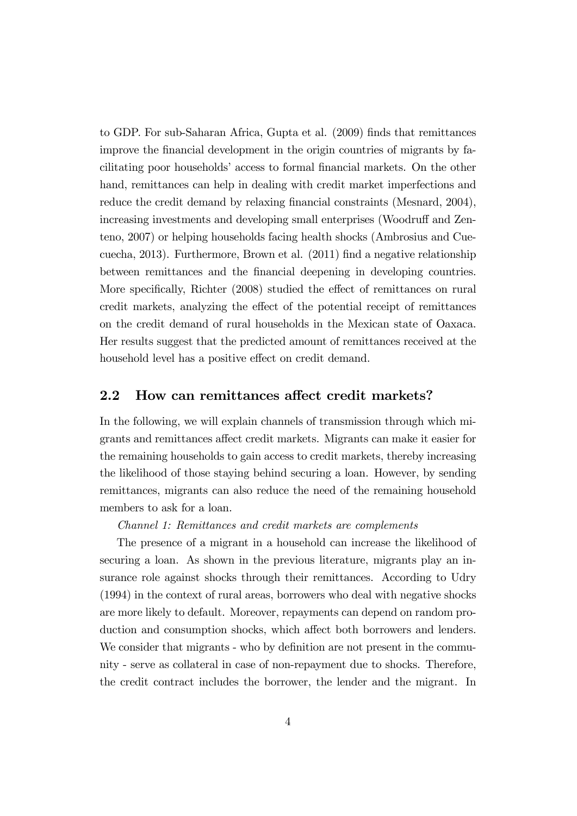to GDP. For sub-Saharan Africa, Gupta et al. (2009) finds that remittances improve the financial development in the origin countries of migrants by facilitating poor households' access to formal financial markets. On the other hand, remittances can help in dealing with credit market imperfections and reduce the credit demand by relaxing financial constraints (Mesnard, 2004), increasing investments and developing small enterprises (Woodruff and Zenteno, 2007) or helping households facing health shocks (Ambrosius and Cuecuecha, 2013). Furthermore, Brown et al. (2011) Önd a negative relationship between remittances and the Önancial deepening in developing countries. More specifically, Richter (2008) studied the effect of remittances on rural credit markets, analyzing the effect of the potential receipt of remittances on the credit demand of rural households in the Mexican state of Oaxaca. Her results suggest that the predicted amount of remittances received at the household level has a positive effect on credit demand.

#### 2.2 How can remittances affect credit markets?

In the following, we will explain channels of transmission through which migrants and remittances affect credit markets. Migrants can make it easier for the remaining households to gain access to credit markets, thereby increasing the likelihood of those staying behind securing a loan. However, by sending remittances, migrants can also reduce the need of the remaining household members to ask for a loan.

Channel 1: Remittances and credit markets are complements

The presence of a migrant in a household can increase the likelihood of securing a loan. As shown in the previous literature, migrants play an insurance role against shocks through their remittances. According to Udry (1994) in the context of rural areas, borrowers who deal with negative shocks are more likely to default. Moreover, repayments can depend on random production and consumption shocks, which affect both borrowers and lenders. We consider that migrants - who by definition are not present in the community - serve as collateral in case of non-repayment due to shocks. Therefore, the credit contract includes the borrower, the lender and the migrant. In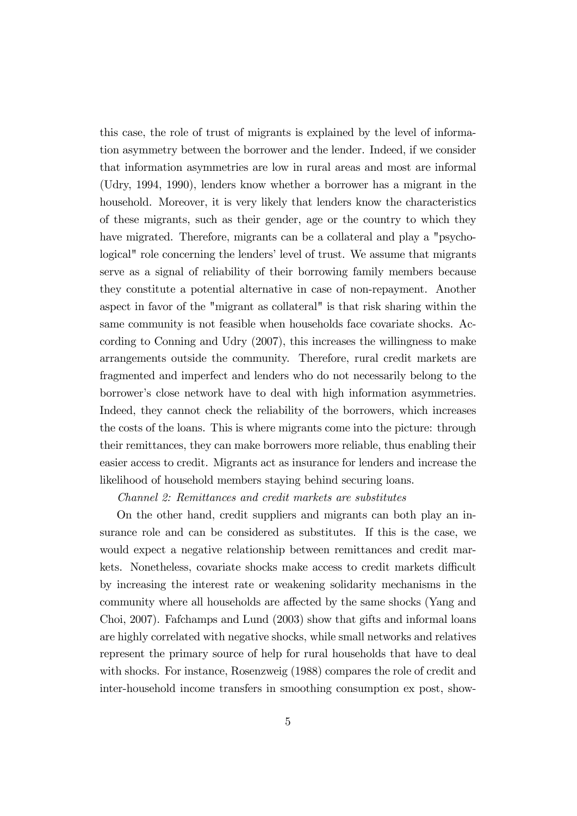this case, the role of trust of migrants is explained by the level of information asymmetry between the borrower and the lender. Indeed, if we consider that information asymmetries are low in rural areas and most are informal (Udry, 1994, 1990), lenders know whether a borrower has a migrant in the household. Moreover, it is very likely that lenders know the characteristics of these migrants, such as their gender, age or the country to which they have migrated. Therefore, migrants can be a collateral and play a "psychological" role concerning the lenders' level of trust. We assume that migrants serve as a signal of reliability of their borrowing family members because they constitute a potential alternative in case of non-repayment. Another aspect in favor of the "migrant as collateral" is that risk sharing within the same community is not feasible when households face covariate shocks. According to Conning and Udry (2007), this increases the willingness to make arrangements outside the community. Therefore, rural credit markets are fragmented and imperfect and lenders who do not necessarily belong to the borrower's close network have to deal with high information asymmetries. Indeed, they cannot check the reliability of the borrowers, which increases the costs of the loans. This is where migrants come into the picture: through their remittances, they can make borrowers more reliable, thus enabling their easier access to credit. Migrants act as insurance for lenders and increase the likelihood of household members staying behind securing loans.

#### Channel 2: Remittances and credit markets are substitutes

On the other hand, credit suppliers and migrants can both play an insurance role and can be considered as substitutes. If this is the case, we would expect a negative relationship between remittances and credit markets. Nonetheless, covariate shocks make access to credit markets difficult by increasing the interest rate or weakening solidarity mechanisms in the community where all households are affected by the same shocks (Yang and Choi, 2007). Fafchamps and Lund (2003) show that gifts and informal loans are highly correlated with negative shocks, while small networks and relatives represent the primary source of help for rural households that have to deal with shocks. For instance, Rosenzweig (1988) compares the role of credit and inter-household income transfers in smoothing consumption ex post, show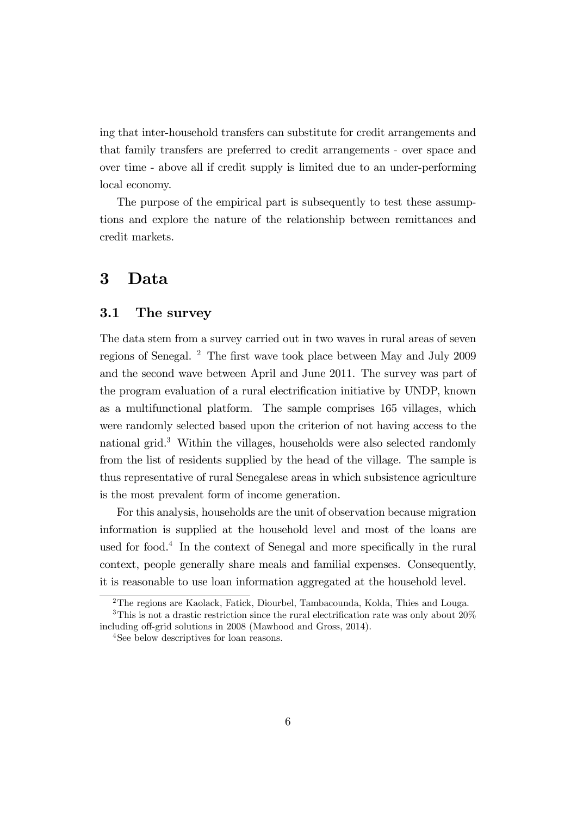ing that inter-household transfers can substitute for credit arrangements and that family transfers are preferred to credit arrangements - over space and over time - above all if credit supply is limited due to an under-performing local economy.

The purpose of the empirical part is subsequently to test these assumptions and explore the nature of the relationship between remittances and credit markets.

### 3 Data

#### 3.1 The survey

The data stem from a survey carried out in two waves in rural areas of seven regions of Senegal. <sup>2</sup> The first wave took place between May and July 2009 and the second wave between April and June 2011. The survey was part of the program evaluation of a rural electrification initiative by UNDP, known as a multifunctional platform. The sample comprises 165 villages, which were randomly selected based upon the criterion of not having access to the national grid.<sup>3</sup> Within the villages, households were also selected randomly from the list of residents supplied by the head of the village. The sample is thus representative of rural Senegalese areas in which subsistence agriculture is the most prevalent form of income generation.

For this analysis, households are the unit of observation because migration information is supplied at the household level and most of the loans are used for food.<sup>4</sup> In the context of Senegal and more specifically in the rural context, people generally share meals and familial expenses. Consequently, it is reasonable to use loan information aggregated at the household level.

<sup>2</sup>The regions are Kaolack, Fatick, Diourbel, Tambacounda, Kolda, Thies and Louga. <sup>3</sup>This is not a drastic restriction since the rural electrification rate was only about  $20\%$ 

including off-grid solutions in 2008 (Mawhood and Gross, 2014).

<sup>&</sup>lt;sup>4</sup>See below descriptives for loan reasons.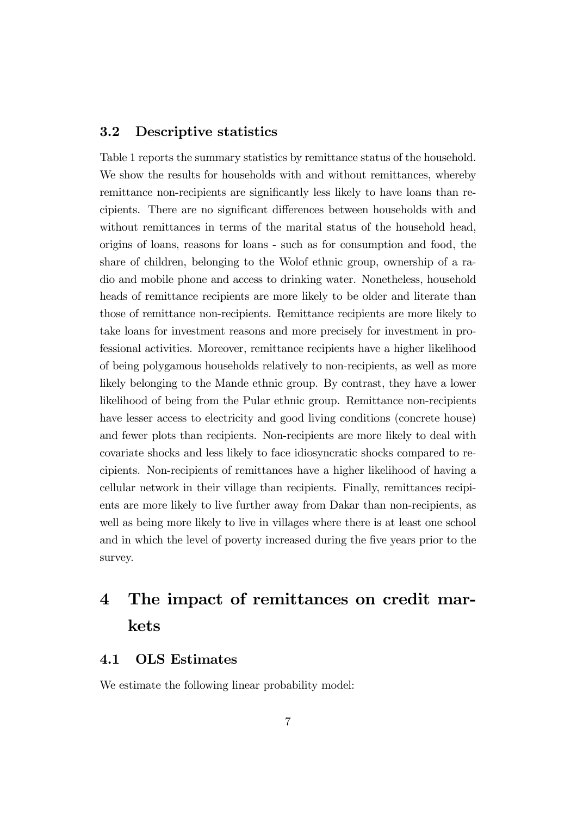#### 3.2 Descriptive statistics

Table 1 reports the summary statistics by remittance status of the household. We show the results for households with and without remittances, whereby remittance non-recipients are significantly less likely to have loans than recipients. There are no significant differences between households with and without remittances in terms of the marital status of the household head, origins of loans, reasons for loans - such as for consumption and food, the share of children, belonging to the Wolof ethnic group, ownership of a radio and mobile phone and access to drinking water. Nonetheless, household heads of remittance recipients are more likely to be older and literate than those of remittance non-recipients. Remittance recipients are more likely to take loans for investment reasons and more precisely for investment in professional activities. Moreover, remittance recipients have a higher likelihood of being polygamous households relatively to non-recipients, as well as more likely belonging to the Mande ethnic group. By contrast, they have a lower likelihood of being from the Pular ethnic group. Remittance non-recipients have lesser access to electricity and good living conditions (concrete house) and fewer plots than recipients. Non-recipients are more likely to deal with covariate shocks and less likely to face idiosyncratic shocks compared to recipients. Non-recipients of remittances have a higher likelihood of having a cellular network in their village than recipients. Finally, remittances recipients are more likely to live further away from Dakar than non-recipients, as well as being more likely to live in villages where there is at least one school and in which the level of poverty increased during the five years prior to the survey.

## 4 The impact of remittances on credit markets

#### 4.1 OLS Estimates

We estimate the following linear probability model: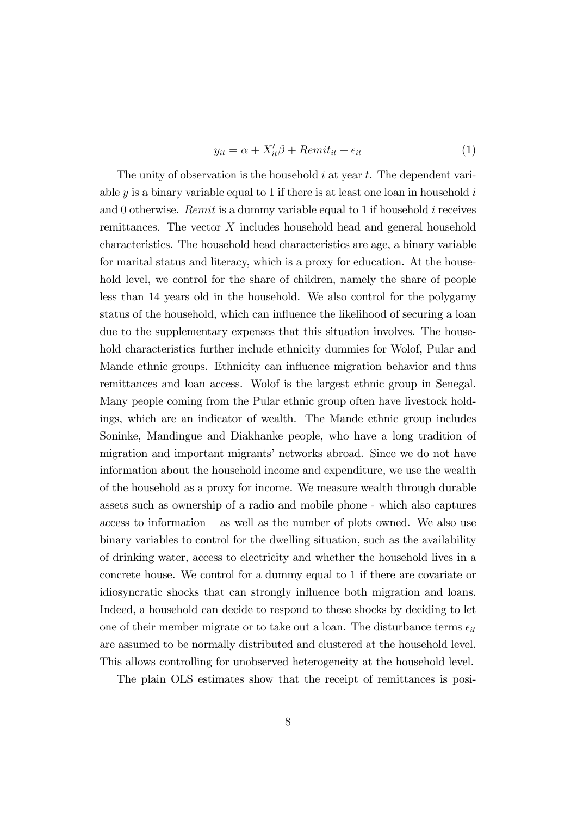$$
y_{it} = \alpha + X_{it}'\beta + Remit_{it} + \epsilon_{it}
$$
 (1)

The unity of observation is the household  $i$  at year  $t$ . The dependent variable  $y$  is a binary variable equal to 1 if there is at least one loan in household  $i$ and 0 otherwise. Remit is a dummy variable equal to 1 if household  $i$  receives remittances. The vector X includes household head and general household characteristics. The household head characteristics are age, a binary variable for marital status and literacy, which is a proxy for education. At the household level, we control for the share of children, namely the share of people less than 14 years old in the household. We also control for the polygamy status of the household, which can influence the likelihood of securing a loan due to the supplementary expenses that this situation involves. The household characteristics further include ethnicity dummies for Wolof, Pular and Mande ethnic groups. Ethnicity can influence migration behavior and thus remittances and loan access. Wolof is the largest ethnic group in Senegal. Many people coming from the Pular ethnic group often have livestock holdings, which are an indicator of wealth. The Mande ethnic group includes Soninke, Mandingue and Diakhanke people, who have a long tradition of migration and important migrants' networks abroad. Since we do not have information about the household income and expenditure, we use the wealth of the household as a proxy for income. We measure wealth through durable assets such as ownership of a radio and mobile phone - which also captures access to information  $-$  as well as the number of plots owned. We also use binary variables to control for the dwelling situation, such as the availability of drinking water, access to electricity and whether the household lives in a concrete house. We control for a dummy equal to 1 if there are covariate or idiosyncratic shocks that can strongly influence both migration and loans. Indeed, a household can decide to respond to these shocks by deciding to let one of their member migrate or to take out a loan. The disturbance terms  $\epsilon_{it}$ are assumed to be normally distributed and clustered at the household level. This allows controlling for unobserved heterogeneity at the household level.

The plain OLS estimates show that the receipt of remittances is posi-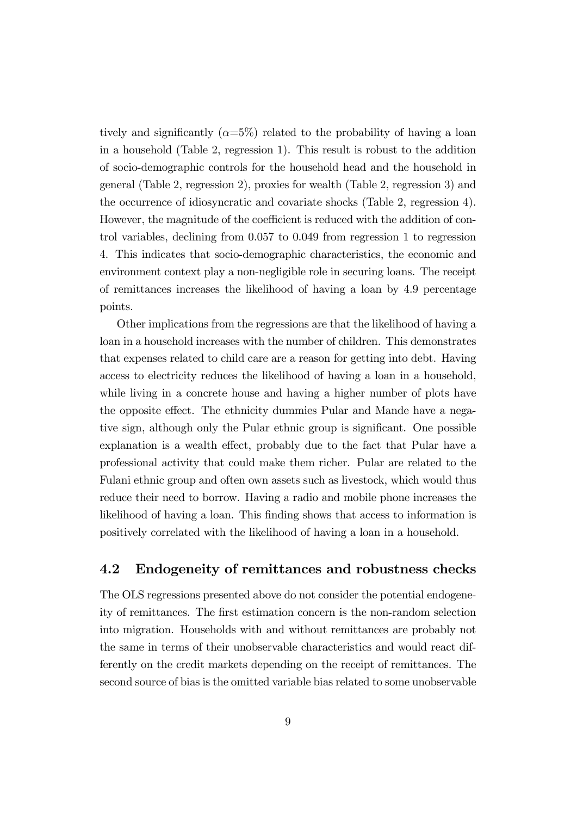tively and significantly  $(\alpha=5\%)$  related to the probability of having a loan in a household (Table 2, regression 1). This result is robust to the addition of socio-demographic controls for the household head and the household in general (Table 2, regression 2), proxies for wealth (Table 2, regression 3) and the occurrence of idiosyncratic and covariate shocks (Table 2, regression 4). However, the magnitude of the coefficient is reduced with the addition of control variables, declining from 0.057 to 0.049 from regression 1 to regression 4. This indicates that socio-demographic characteristics, the economic and environment context play a non-negligible role in securing loans. The receipt of remittances increases the likelihood of having a loan by 4.9 percentage points.

Other implications from the regressions are that the likelihood of having a loan in a household increases with the number of children. This demonstrates that expenses related to child care are a reason for getting into debt. Having access to electricity reduces the likelihood of having a loan in a household, while living in a concrete house and having a higher number of plots have the opposite effect. The ethnicity dummies Pular and Mande have a negative sign, although only the Pular ethnic group is significant. One possible explanation is a wealth effect, probably due to the fact that Pular have a professional activity that could make them richer. Pular are related to the Fulani ethnic group and often own assets such as livestock, which would thus reduce their need to borrow. Having a radio and mobile phone increases the likelihood of having a loan. This finding shows that access to information is positively correlated with the likelihood of having a loan in a household.

#### 4.2 Endogeneity of remittances and robustness checks

The OLS regressions presented above do not consider the potential endogeneity of remittances. The Örst estimation concern is the non-random selection into migration. Households with and without remittances are probably not the same in terms of their unobservable characteristics and would react differently on the credit markets depending on the receipt of remittances. The second source of bias is the omitted variable bias related to some unobservable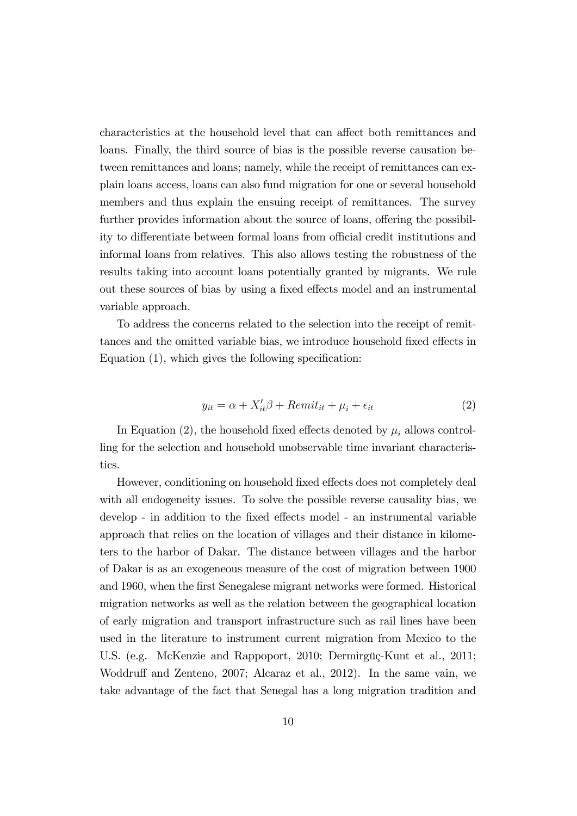characteristics at the household level that can affect both remittances and loans. Finally, the third source of bias is the possible reverse causation between remittances and loans; namely, while the receipt of remittances can explain loans access, loans can also fund migration for one or several household members and thus explain the ensuing receipt of remittances. The survey further provides information about the source of loans, offering the possibility to differentiate between formal loans from official credit institutions and informal loans from relatives. This also allows testing the robustness of the results taking into account loans potentially granted by migrants. We rule out these sources of bias by using a fixed effects model and an instrumental variable approach.

To address the concerns related to the selection into the receipt of remittances and the omitted variable bias, we introduce household fixed effects in Equation  $(1)$ , which gives the following specification:

$$
y_{it} = \alpha + X_{it}'\beta + Remit_{it} + \mu_i + \epsilon_{it}
$$
\n<sup>(2)</sup>

In Equation (2), the household fixed effects denoted by  $\mu_i$  allows controlling for the selection and household unobservable time invariant characteristics.

However, conditioning on household fixed effects does not completely deal with all endogeneity issues. To solve the possible reverse causality bias, we develop - in addition to the fixed effects model - an instrumental variable approach that relies on the location of villages and their distance in kilometers to the harbor of Dakar. The distance between villages and the harbor of Dakar is as an exogeneous measure of the cost of migration between 1900 and 1960, when the first Senegalese migrant networks were formed. Historical migration networks as well as the relation between the geographical location of early migration and transport infrastructure such as rail lines have been used in the literature to instrument current migration from Mexico to the U.S. (e.g. McKenzie and Rappoport, 2010; Dermirgüç-Kunt et al., 2011; Woddruff and Zenteno, 2007; Alcaraz et al., 2012). In the same vain, we take advantage of the fact that Senegal has a long migration tradition and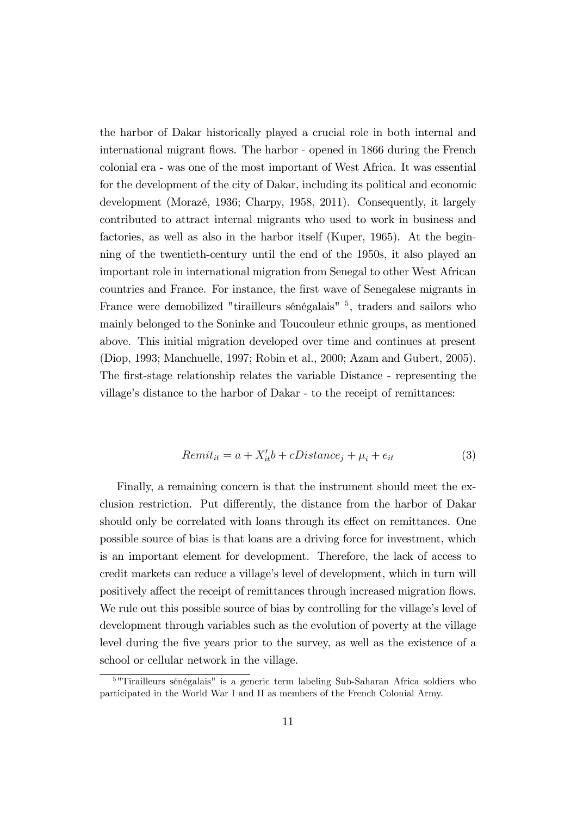the harbor of Dakar historically played a crucial role in both internal and international migrant flows. The harbor - opened in 1866 during the French colonial era - was one of the most important of West Africa. It was essential for the development of the city of Dakar, including its political and economic development (Morazé, 1936; Charpy, 1958, 2011). Consequently, it largely contributed to attract internal migrants who used to work in business and factories, as well as also in the harbor itself (Kuper, 1965). At the beginning of the twentieth-century until the end of the 1950s, it also played an important role in international migration from Senegal to other West African countries and France. For instance, the Örst wave of Senegalese migrants in France were demobilized "tirailleurs sénégalais" <sup>5</sup>, traders and sailors who mainly belonged to the Soninke and Toucouleur ethnic groups, as mentioned above. This initial migration developed over time and continues at present (Diop, 1993; Manchuelle, 1997; Robin et al., 2000; Azam and Gubert, 2005). The first-stage relationship relates the variable Distance - representing the village's distance to the harbor of Dakar - to the receipt of remittances:

$$
Remit_{it} = a + X_{it}'b + cDistance_j + \mu_i + e_{it}
$$
\n
$$
(3)
$$

Finally, a remaining concern is that the instrument should meet the exclusion restriction. Put differently, the distance from the harbor of Dakar should only be correlated with loans through its effect on remittances. One possible source of bias is that loans are a driving force for investment, which is an important element for development. Therefore, the lack of access to credit markets can reduce a village's level of development, which in turn will positively affect the receipt of remittances through increased migration flows. We rule out this possible source of bias by controlling for the village's level of development through variables such as the evolution of poverty at the village level during the Öve years prior to the survey, as well as the existence of a school or cellular network in the village.

<sup>&</sup>lt;sup>5</sup> "Tirailleurs sénégalais" is a generic term labeling Sub-Saharan Africa soldiers who participated in the World War I and II as members of the French Colonial Army.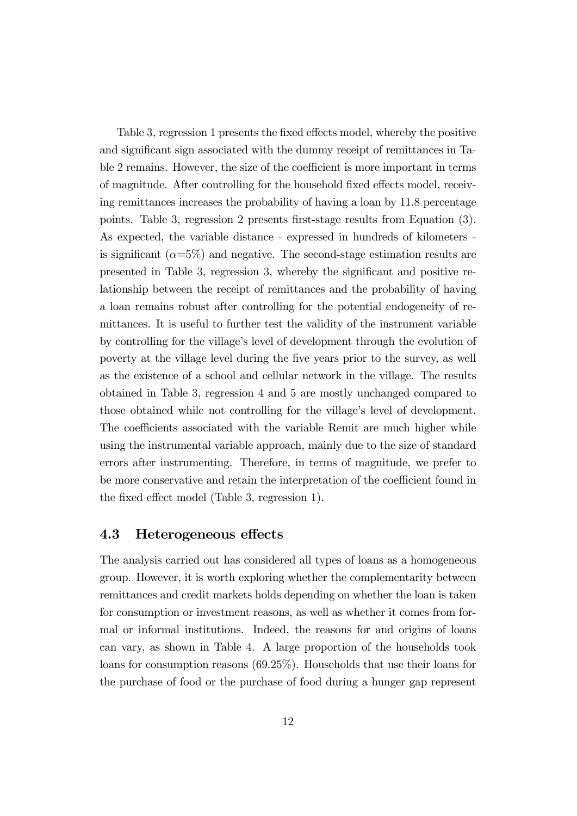Table 3, regression 1 presents the fixed effects model, whereby the positive and significant sign associated with the dummy receipt of remittances in Table 2 remains. However, the size of the coefficient is more important in terms of magnitude. After controlling for the household fixed effects model, receiving remittances increases the probability of having a loan by 11.8 percentage points. Table 3, regression 2 presents Örst-stage results from Equation (3). As expected, the variable distance - expressed in hundreds of kilometers is significant  $(\alpha=5\%)$  and negative. The second-stage estimation results are presented in Table 3, regression 3, whereby the significant and positive relationship between the receipt of remittances and the probability of having a loan remains robust after controlling for the potential endogeneity of remittances. It is useful to further test the validity of the instrument variable by controlling for the villageís level of development through the evolution of poverty at the village level during the Öve years prior to the survey, as well as the existence of a school and cellular network in the village. The results obtained in Table 3, regression 4 and 5 are mostly unchanged compared to those obtained while not controlling for the village's level of development. The coefficients associated with the variable Remit are much higher while using the instrumental variable approach, mainly due to the size of standard errors after instrumenting. Therefore, in terms of magnitude, we prefer to be more conservative and retain the interpretation of the coefficient found in the fixed effect model (Table 3, regression 1).

#### 4.3 Heterogeneous effects

The analysis carried out has considered all types of loans as a homogeneous group. However, it is worth exploring whether the complementarity between remittances and credit markets holds depending on whether the loan is taken for consumption or investment reasons, as well as whether it comes from formal or informal institutions. Indeed, the reasons for and origins of loans can vary, as shown in Table 4. A large proportion of the households took loans for consumption reasons (69.25%). Households that use their loans for the purchase of food or the purchase of food during a hunger gap represent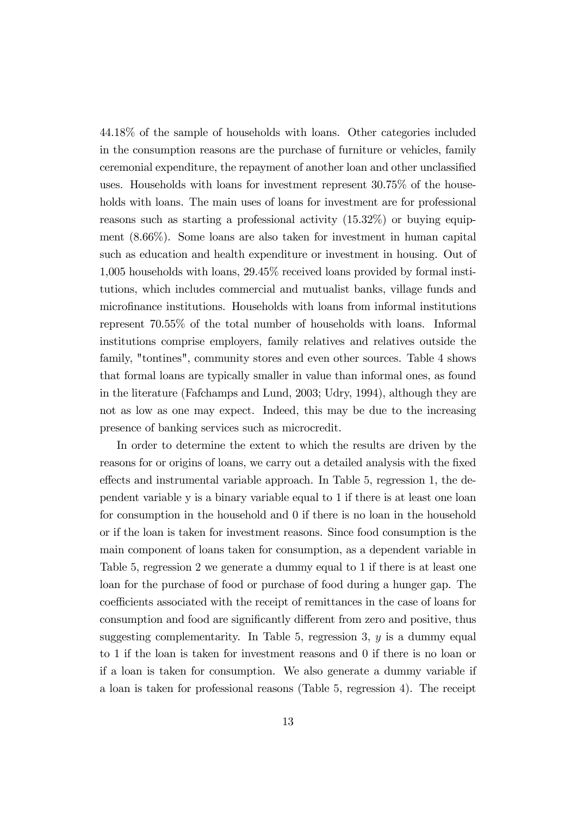44.18% of the sample of households with loans. Other categories included in the consumption reasons are the purchase of furniture or vehicles, family ceremonial expenditure, the repayment of another loan and other unclassified uses. Households with loans for investment represent 30.75% of the households with loans. The main uses of loans for investment are for professional reasons such as starting a professional activity (15.32%) or buying equipment (8.66%). Some loans are also taken for investment in human capital such as education and health expenditure or investment in housing. Out of 1,005 households with loans, 29.45% received loans provided by formal institutions, which includes commercial and mutualist banks, village funds and microÖnance institutions. Households with loans from informal institutions represent 70.55% of the total number of households with loans. Informal institutions comprise employers, family relatives and relatives outside the family, "tontines", community stores and even other sources. Table 4 shows that formal loans are typically smaller in value than informal ones, as found in the literature (Fafchamps and Lund, 2003; Udry, 1994), although they are not as low as one may expect. Indeed, this may be due to the increasing presence of banking services such as microcredit.

In order to determine the extent to which the results are driven by the reasons for or origins of loans, we carry out a detailed analysis with the Öxed effects and instrumental variable approach. In Table 5, regression 1, the dependent variable y is a binary variable equal to 1 if there is at least one loan for consumption in the household and 0 if there is no loan in the household or if the loan is taken for investment reasons. Since food consumption is the main component of loans taken for consumption, as a dependent variable in Table 5, regression 2 we generate a dummy equal to 1 if there is at least one loan for the purchase of food or purchase of food during a hunger gap. The coefficients associated with the receipt of remittances in the case of loans for consumption and food are significantly different from zero and positive, thus suggesting complementarity. In Table 5, regression 3,  $y$  is a dummy equal to 1 if the loan is taken for investment reasons and 0 if there is no loan or if a loan is taken for consumption. We also generate a dummy variable if a loan is taken for professional reasons (Table 5, regression 4). The receipt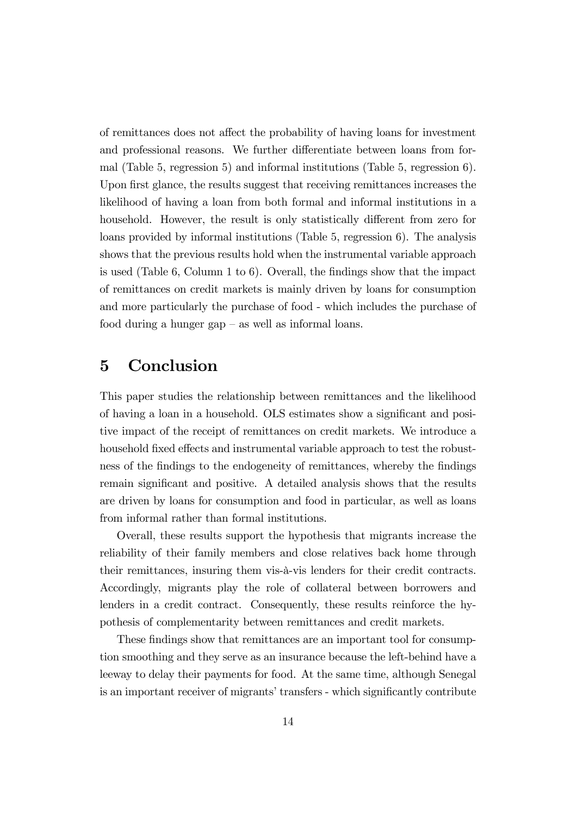of remittances does not affect the probability of having loans for investment and professional reasons. We further differentiate between loans from formal (Table 5, regression 5) and informal institutions (Table 5, regression 6). Upon first glance, the results suggest that receiving remittances increases the likelihood of having a loan from both formal and informal institutions in a household. However, the result is only statistically different from zero for loans provided by informal institutions (Table 5, regression 6). The analysis shows that the previous results hold when the instrumental variable approach is used (Table 6, Column 1 to 6). Overall, the findings show that the impact of remittances on credit markets is mainly driven by loans for consumption and more particularly the purchase of food - which includes the purchase of food during a hunger gap  $-\text{as}$  well as informal loans.

## 5 Conclusion

This paper studies the relationship between remittances and the likelihood of having a loan in a household. OLS estimates show a significant and positive impact of the receipt of remittances on credit markets. We introduce a household fixed effects and instrumental variable approach to test the robustness of the findings to the endogeneity of remittances, whereby the findings remain significant and positive. A detailed analysis shows that the results are driven by loans for consumption and food in particular, as well as loans from informal rather than formal institutions.

Overall, these results support the hypothesis that migrants increase the reliability of their family members and close relatives back home through their remittances, insuring them vis-‡-vis lenders for their credit contracts. Accordingly, migrants play the role of collateral between borrowers and lenders in a credit contract. Consequently, these results reinforce the hypothesis of complementarity between remittances and credit markets.

These findings show that remittances are an important tool for consumption smoothing and they serve as an insurance because the left-behind have a leeway to delay their payments for food. At the same time, although Senegal is an important receiver of migrants' transfers - which significantly contribute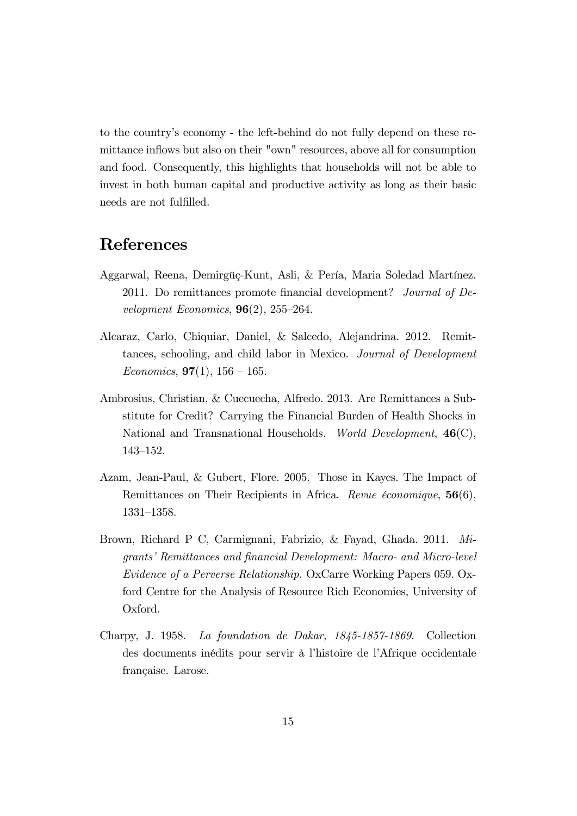to the countryís economy - the left-behind do not fully depend on these remittance inflows but also on their "own" resources, above all for consumption and food. Consequently, this highlights that households will not be able to invest in both human capital and productive activity as long as their basic needs are not fulfilled.

## References

- Aggarwal, Reena, Demirgüç-Kunt, Asli, & Pería, Maria Soledad Martínez. 2011. Do remittances promote financial development? Journal of Development Economics,  $96(2)$ ,  $255-264$ .
- Alcaraz, Carlo, Chiquiar, Daniel, & Salcedo, Alejandrina. 2012. Remittances, schooling, and child labor in Mexico. Journal of Development Economics,  $97(1)$ ,  $156 - 165$ .
- Ambrosius, Christian, & Cuecuecha, Alfredo. 2013. Are Remittances a Substitute for Credit? Carrying the Financial Burden of Health Shocks in National and Transnational Households. World Development, 46(C), 143-152.
- Azam, Jean-Paul, & Gubert, Flore. 2005. Those in Kayes. The Impact of Remittances on Their Recipients in Africa. *Revue économique*, 56(6), 1331-1358.
- Brown, Richard P C, Carmignani, Fabrizio, & Fayad, Ghada. 2011. Migrants' Remittances and financial Development: Macro- and Micro-level Evidence of a Perverse Relationship. OxCarre Working Papers 059. Oxford Centre for the Analysis of Resource Rich Economies, University of Oxford.
- Charpy, J. 1958. La foundation de Dakar, 1845-1857-1869. Collection des documents inédits pour servir à l'histoire de l'Afrique occidentale française. Larose.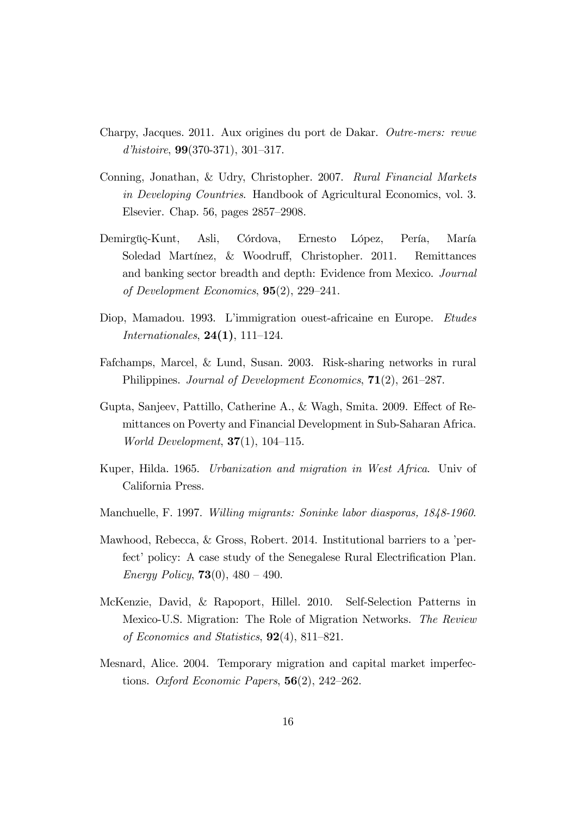- Charpy, Jacques. 2011. Aux origines du port de Dakar. Outre-mers: revue d'histoire,  $99(370-371)$ ,  $301-317$ .
- Conning, Jonathan, & Udry, Christopher. 2007. Rural Financial Markets in Developing Countries. Handbook of Agricultural Economics, vol. 3. Elsevier. Chap.  $56$ , pages  $2857-2908$ .
- Demirgüç-Kunt, Asli, Córdova, Ernesto López, Pería, María Soledad Martínez, & Woodruff, Christopher. 2011. Remittances and banking sector breadth and depth: Evidence from Mexico. Journal of Development Economics,  $95(2)$ ,  $229-241$ .
- Diop, Mamadou. 1993. L'immigration ouest-africaine en Europe. Etudes *Internationales*,  $24(1)$ ,  $111-124$ .
- Fafchamps, Marcel, & Lund, Susan. 2003. Risk-sharing networks in rural Philippines. Journal of Development Economics,  $71(2)$ , 261–287.
- Gupta, Sanjeev, Pattillo, Catherine A., & Wagh, Smita. 2009. Effect of Remittances on Poverty and Financial Development in Sub-Saharan Africa. *World Development*,  $37(1)$ ,  $104-115$ .
- Kuper, Hilda. 1965. Urbanization and migration in West Africa. Univ of California Press.
- Manchuelle, F. 1997. Willing migrants: Soninke labor diasporas, 1848-1960.
- Mawhood, Rebecca, & Gross, Robert. 2014. Institutional barriers to a 'perfect' policy: A case study of the Senegalese Rural Electrification Plan. Energy Policy, **73**(0),  $480 - 490$ .
- McKenzie, David, & Rapoport, Hillel. 2010. Self-Selection Patterns in Mexico-U.S. Migration: The Role of Migration Networks. The Review of Economics and Statistics,  $92(4)$ , 811–821.
- Mesnard, Alice. 2004. Temporary migration and capital market imperfections. Oxford Economic Papers,  $56(2)$ ,  $242-262$ .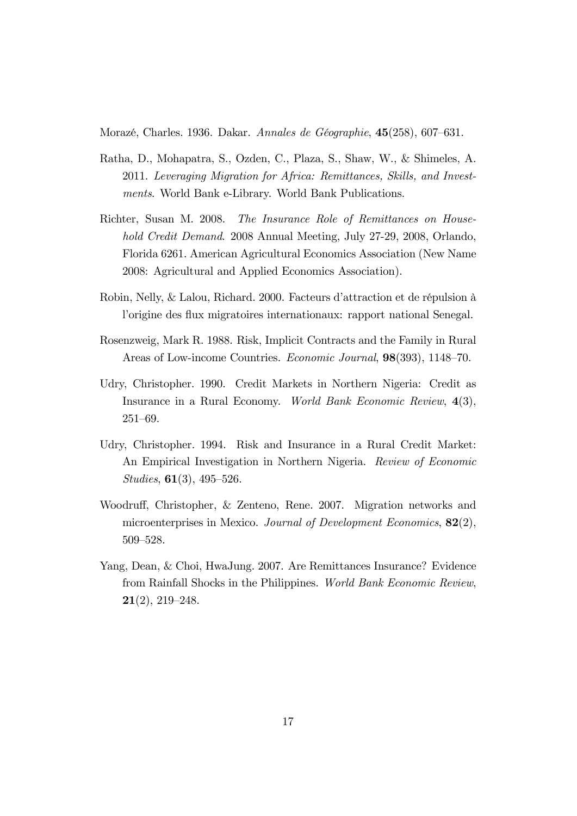Morazé, Charles. 1936. Dakar. Annales de Géographie,  $45(258)$ , 607–631.

- Ratha, D., Mohapatra, S., Ozden, C., Plaza, S., Shaw, W., & Shimeles, A. 2011. Leveraging Migration for Africa: Remittances, Skills, and Investments. World Bank e-Library. World Bank Publications.
- Richter, Susan M. 2008. The Insurance Role of Remittances on Household Credit Demand. 2008 Annual Meeting, July 27-29, 2008, Orlando, Florida 6261. American Agricultural Economics Association (New Name 2008: Agricultural and Applied Economics Association).
- Robin, Nelly, & Lalou, Richard. 2000. Facteurs d'attraction et de répulsion à l'origine des flux migratoires internationaux: rapport national Senegal.
- Rosenzweig, Mark R. 1988. Risk, Implicit Contracts and the Family in Rural Areas of Low-income Countries. Economic Journal, 98(393), 1148-70.
- Udry, Christopher. 1990. Credit Markets in Northern Nigeria: Credit as Insurance in a Rural Economy. World Bank Economic Review, 4(3),  $251 - 69.$
- Udry, Christopher. 1994. Risk and Insurance in a Rural Credit Market: An Empirical Investigation in Northern Nigeria. Review of Economic Studies,  $61(3)$ ,  $495-526$ .
- Woodruff, Christopher, & Zenteno, Rene. 2007. Migration networks and microenterprises in Mexico. Journal of Development Economics, 82(2), 509-528.
- Yang, Dean, & Choi, HwaJung. 2007. Are Remittances Insurance? Evidence from Rainfall Shocks in the Philippines. World Bank Economic Review,  $21(2), 219-248.$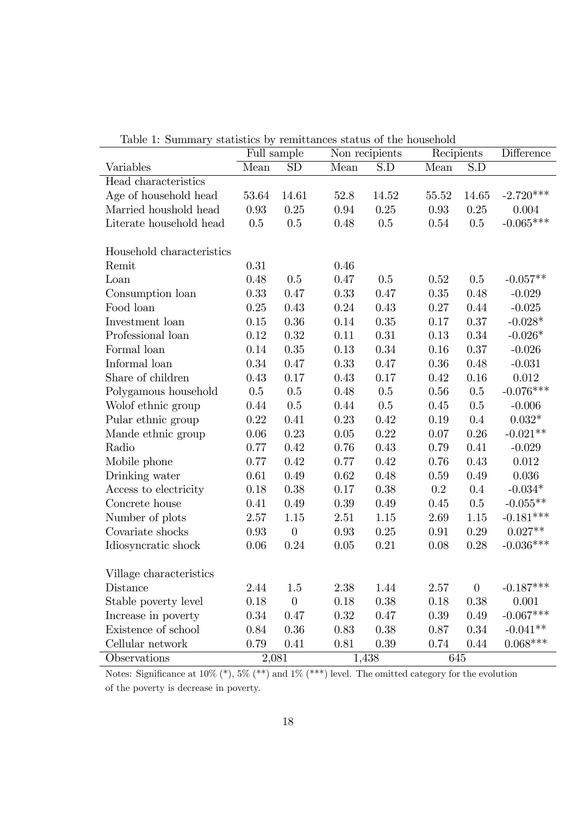| rapic 1. Dummary          |       | Full sample      | statistics by remetatives status or the household | Non recipients   | Recipients |          | Difference  |
|---------------------------|-------|------------------|---------------------------------------------------|------------------|------------|----------|-------------|
| Variables                 | Mean  | <b>SD</b>        | Mean                                              | $\overline{S.D}$ | Mean       | S.D      |             |
| Head characteristics      |       |                  |                                                   |                  |            |          |             |
| Age of household head     | 53.64 | 14.61            | 52.8                                              | 14.52            | 55.52      | 14.65    | $-2.720***$ |
| Married houshold head     | 0.93  | 0.25             | 0.94                                              | $0.25\,$         | 0.93       | $0.25\,$ | 0.004       |
| Literate household head   | 0.5   | 0.5              | 0.48                                              | 0.5              | 0.54       | 0.5      | $-0.065***$ |
|                           |       |                  |                                                   |                  |            |          |             |
| Household characteristics |       |                  |                                                   |                  |            |          |             |
| Remit                     | 0.31  |                  | 0.46                                              |                  |            |          |             |
| Loan                      | 0.48  | 0.5              | 0.47                                              | 0.5              | 0.52       | 0.5      | $-0.057**$  |
| Consumption loan          | 0.33  | 0.47             | 0.33                                              | 0.47             | 0.35       | 0.48     | $-0.029$    |
| Food loan                 | 0.25  | 0.43             | 0.24                                              | 0.43             | 0.27       | 0.44     | $-0.025$    |
| Investment loan           | 0.15  | 0.36             | 0.14                                              | $0.35\,$         | 0.17       | 0.37     | $-0.028*$   |
| Professional loan         | 0.12  | 0.32             | 0.11                                              | 0.31             | 0.13       | 0.34     | $-0.026*$   |
| Formal loan               | 0.14  | 0.35             | 0.13                                              | $0.34\,$         | 0.16       | 0.37     | $-0.026$    |
| Informal loan             | 0.34  | 0.47             | 0.33                                              | 0.47             | 0.36       | 0.48     | $-0.031$    |
| Share of children         | 0.43  | 0.17             | 0.43                                              | 0.17             | 0.42       | 0.16     | $0.012\,$   |
| Polygamous household      | 0.5   | 0.5              | 0.48                                              | 0.5              | 0.56       | 0.5      | $-0.076***$ |
| Wolof ethnic group        | 0.44  | 0.5              | 0.44                                              | 0.5              | 0.45       | 0.5      | $-0.006$    |
| Pular ethnic group        | 0.22  | 0.41             | 0.23                                              | 0.42             | 0.19       | 0.4      | $0.032*$    |
| Mande ethnic group        | 0.06  | 0.23             | 0.05                                              | 0.22             | 0.07       | 0.26     | $-0.021**$  |
| Radio                     | 0.77  | 0.42             | 0.76                                              | 0.43             | 0.79       | 0.41     | $-0.029$    |
| Mobile phone              | 0.77  | 0.42             | 0.77                                              | 0.42             | 0.76       | 0.43     | 0.012       |
| Drinking water            | 0.61  | 0.49             | 0.62                                              | 0.48             | 0.59       | 0.49     | $0.036\,$   |
| Access to electricity     | 0.18  | 0.38             | 0.17                                              | 0.38             | 0.2        | 0.4      | $-0.034*$   |
| Concrete house            | 0.41  | 0.49             | 0.39                                              | 0.49             | 0.45       | 0.5      | $-0.055**$  |
| Number of plots           | 2.57  | 1.15             | 2.51                                              | 1.15             | 2.69       | $1.15\,$ | $-0.181***$ |
| Covariate shocks          | 0.93  | $\theta$         | 0.93                                              | 0.25             | 0.91       | 0.29     | $0.027**$   |
| Idiosyncratic shock       | 0.06  | $0.24\,$         | 0.05                                              | 0.21             | 0.08       | 0.28     | $-0.036***$ |
|                           |       |                  |                                                   |                  |            |          |             |
| Village characteristics   |       |                  |                                                   |                  |            |          |             |
| Distance                  | 2.44  | 1.5              | 2.38                                              | 1.44             | 2.57       | $\theta$ | $-0.187***$ |
| Stable poverty level      | 0.18  | $\boldsymbol{0}$ | 0.18                                              | 0.38             | 0.18       | 0.38     | 0.001       |
| Increase in poverty       | 0.34  | 0.47             | 0.32                                              | 0.47             | 0.39       | 0.49     | $-0.067***$ |
| Existence of school       | 0.84  | 0.36             | 0.83                                              | 0.38             | 0.87       | 0.34     | $-0.041**$  |
| Cellular network          | 0.79  | 0.41             | 0.81                                              | 0.39             | 0.74       | 0.44     | $0.068***$  |
| Observations              | 2,081 |                  |                                                   | 1,438            | 645        |          |             |

Table 1: Summary statistics by remittances status of the household

Notes: Significance at  $10\%$  (\*),  $5\%$  (\*\*) and  $1\%$  (\*\*\*) level. The omitted category for the evolution of the poverty is decrease in poverty.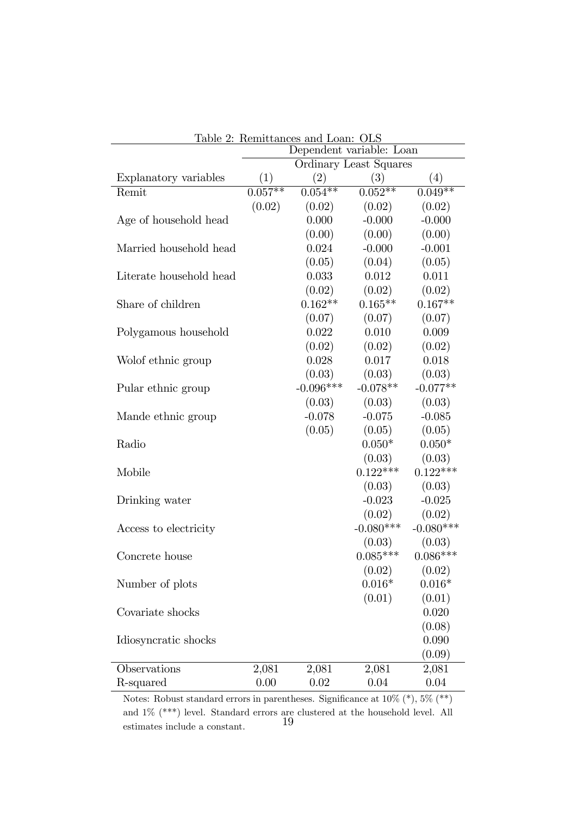|                         | <u> Iable 2: Remittances and Loan: ULS</u><br>Dependent variable: Loan |             |                        |             |  |  |
|-------------------------|------------------------------------------------------------------------|-------------|------------------------|-------------|--|--|
|                         |                                                                        |             | Ordinary Least Squares |             |  |  |
| Explanatory variables   | (1)                                                                    | (2)         | (3)                    | (4)         |  |  |
| Remit                   | $0.057**$                                                              | $0.054***$  | $0.052**$              | $0.049**$   |  |  |
|                         | (0.02)                                                                 | (0.02)      | (0.02)                 | (0.02)      |  |  |
| Age of household head   |                                                                        | 0.000       | $-0.000$               | $-0.000$    |  |  |
|                         |                                                                        | (0.00)      | (0.00)                 | (0.00)      |  |  |
| Married household head  |                                                                        | 0.024       | $-0.000$               | $-0.001$    |  |  |
|                         |                                                                        | (0.05)      | (0.04)                 | (0.05)      |  |  |
| Literate household head |                                                                        | 0.033       | 0.012                  | 0.011       |  |  |
|                         |                                                                        | (0.02)      | (0.02)                 | (0.02)      |  |  |
| Share of children       |                                                                        | $0.162**$   | $0.165**$              | $0.167**$   |  |  |
|                         |                                                                        | (0.07)      | (0.07)                 | (0.07)      |  |  |
| Polygamous household    |                                                                        | 0.022       | 0.010                  | 0.009       |  |  |
|                         |                                                                        | (0.02)      | (0.02)                 | (0.02)      |  |  |
| Wolof ethnic group      |                                                                        | 0.028       | 0.017                  | 0.018       |  |  |
|                         |                                                                        | (0.03)      | (0.03)                 | (0.03)      |  |  |
| Pular ethnic group      |                                                                        | $-0.096***$ | $-0.078**$             | $-0.077**$  |  |  |
|                         |                                                                        | (0.03)      | (0.03)                 | (0.03)      |  |  |
| Mande ethnic group      |                                                                        | $-0.078$    | $-0.075$               | $-0.085$    |  |  |
|                         |                                                                        | (0.05)      | (0.05)                 | (0.05)      |  |  |
| Radio                   |                                                                        |             | $0.050*$               | $0.050*$    |  |  |
|                         |                                                                        |             | (0.03)                 | (0.03)      |  |  |
| Mobile                  |                                                                        |             | $0.122***$             | $0.122***$  |  |  |
|                         |                                                                        |             | (0.03)                 | (0.03)      |  |  |
| Drinking water          |                                                                        |             | $-0.023$               | $-0.025$    |  |  |
|                         |                                                                        |             | (0.02)                 | (0.02)      |  |  |
| Access to electricity   |                                                                        |             | $-0.080***$            | $-0.080***$ |  |  |
|                         |                                                                        |             | (0.03)                 | (0.03)      |  |  |
| Concrete house          |                                                                        |             | $0.085***$             | $0.086***$  |  |  |
|                         |                                                                        |             | (0.02)                 | (0.02)      |  |  |
| Number of plots         |                                                                        |             | $0.016*$               | $0.016*$    |  |  |
|                         |                                                                        |             | (0.01)                 | (0.01)      |  |  |
| Covariate shocks        |                                                                        |             |                        | 0.020       |  |  |
|                         |                                                                        |             |                        | (0.08)      |  |  |
| Idiosyncratic shocks    |                                                                        |             |                        | 0.090       |  |  |
|                         |                                                                        |             |                        | (0.09)      |  |  |
| Observations            | 2,081                                                                  | 2,081       | 2,081                  | 2,081       |  |  |
| R-squared               | 0.00                                                                   | 0.02        | 0.04                   | 0.04        |  |  |

| Table 2: Remittances and Loan: OLS |  |                                                                               |  |
|------------------------------------|--|-------------------------------------------------------------------------------|--|
|                                    |  | $\mathbf{r}$ $\mathbf{r}$ $\mathbf{r}$ $\mathbf{r}$ $\mathbf{r}$ $\mathbf{r}$ |  |

Notes: Robust standard errors in parentheses. Significance at  $10\%$  (\*),  $5\%$  (\*\*) and 1% (\*\*\*) level. Standard errors are clustered at the household level. All estimates include a constant. 19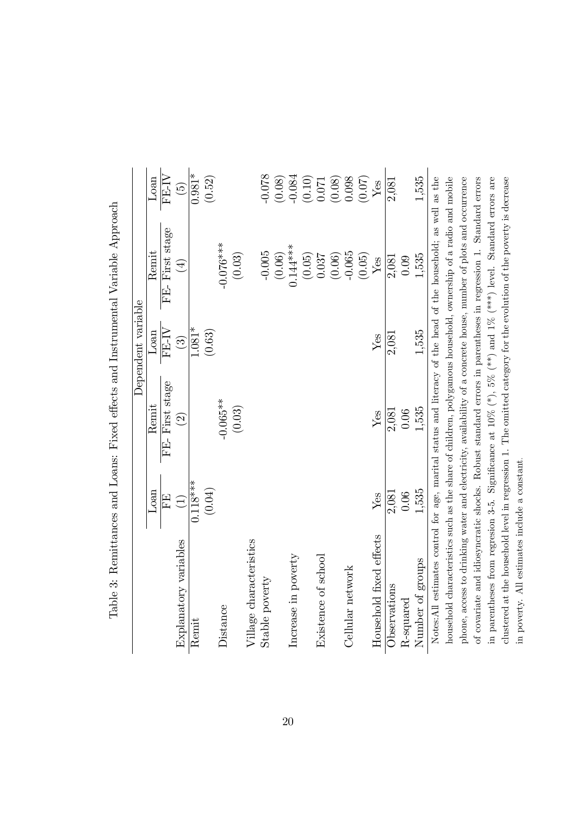| $\frac{1}{2}$<br>こくしょう<br>ł<br>$\frac{1}{2}$<br>i<br>$\sim$       |  |
|-------------------------------------------------------------------|--|
|                                                                   |  |
| contrattors = toric utticulties<br>l                              |  |
| TONE - CARRO - TORRO DE CONFEREN<br>Allel Logillo. Then<br>i<br>I |  |
| $\ddot{\phantom{0}}$                                              |  |
| $\frac{1}{2}$<br>j<br>.<br>[<br>$\frac{2}{3}$                     |  |

| FE-First stage<br>$-0.076***$<br>$(0.06)$<br>0.144 ***<br>Remit<br>$-0.005$<br>(0.03)<br>$-0.065$<br>(0.05)<br>(0.06)<br>(0.05)<br>1.535<br>0.037<br>0.09<br>2,081<br>${\rm Yes}$<br>$\bigoplus$<br>$1.081*$<br>FE-IV<br>(0.63)<br>1,535<br>Loan<br>2,081<br>Yes<br>$\bigcirc$<br>FE-First stage<br>$-0.065**$<br>Remit<br>(0.03)<br>1,535<br>0.06<br>2,081<br>Yes<br>$\widehat{\Omega}$<br>$0.118***$<br>(0.04)<br>1,535<br>Loan<br>$0.06$<br>2,081<br>Yes<br>FE,<br>$\begin{pmatrix} 1 \end{pmatrix}$<br>fixed effects<br>Village characteristics<br>Explanatory variables<br>poverty<br>of school<br>Number of groups<br>Cellular network<br>Stable poverty<br>Observations<br>Increase in<br>Household<br>R-squared<br>of covariate<br>Existence<br>Distance<br>Remit | Notes:All estimates control for age, marital status and literacy of the head of the household; as well as the<br>household characteristics such as the share of children, polygamous household, ownership of a radio and mobile<br>and idiosyncratic shocks. Robust standard errors in parentheses in regression 1. Standard errors<br>phone, access to drinking water and electricity, availability of a concrete house, number of plots and occurrence<br>in parentheses from regresion 3-5. Significance at $10\%$ (*), $5\%$ (**) and $1\%$ (***) level. Standard errors are<br>clustered at the household level in regression 1. The omitted category for the evolution of the poverty is decrease<br>$\widetilde{\Theta}$ |  | Dependent variable |             |
|---------------------------------------------------------------------------------------------------------------------------------------------------------------------------------------------------------------------------------------------------------------------------------------------------------------------------------------------------------------------------------------------------------------------------------------------------------------------------------------------------------------------------------------------------------------------------------------------------------------------------------------------------------------------------------------------------------------------------------------------------------------------------|---------------------------------------------------------------------------------------------------------------------------------------------------------------------------------------------------------------------------------------------------------------------------------------------------------------------------------------------------------------------------------------------------------------------------------------------------------------------------------------------------------------------------------------------------------------------------------------------------------------------------------------------------------------------------------------------------------------------------------|--|--------------------|-------------|
|                                                                                                                                                                                                                                                                                                                                                                                                                                                                                                                                                                                                                                                                                                                                                                           |                                                                                                                                                                                                                                                                                                                                                                                                                                                                                                                                                                                                                                                                                                                                 |  |                    | Loan        |
|                                                                                                                                                                                                                                                                                                                                                                                                                                                                                                                                                                                                                                                                                                                                                                           |                                                                                                                                                                                                                                                                                                                                                                                                                                                                                                                                                                                                                                                                                                                                 |  |                    | FE-IV       |
|                                                                                                                                                                                                                                                                                                                                                                                                                                                                                                                                                                                                                                                                                                                                                                           |                                                                                                                                                                                                                                                                                                                                                                                                                                                                                                                                                                                                                                                                                                                                 |  |                    |             |
|                                                                                                                                                                                                                                                                                                                                                                                                                                                                                                                                                                                                                                                                                                                                                                           |                                                                                                                                                                                                                                                                                                                                                                                                                                                                                                                                                                                                                                                                                                                                 |  |                    | $0.981*$    |
|                                                                                                                                                                                                                                                                                                                                                                                                                                                                                                                                                                                                                                                                                                                                                                           |                                                                                                                                                                                                                                                                                                                                                                                                                                                                                                                                                                                                                                                                                                                                 |  |                    | (0.52)      |
|                                                                                                                                                                                                                                                                                                                                                                                                                                                                                                                                                                                                                                                                                                                                                                           |                                                                                                                                                                                                                                                                                                                                                                                                                                                                                                                                                                                                                                                                                                                                 |  |                    |             |
|                                                                                                                                                                                                                                                                                                                                                                                                                                                                                                                                                                                                                                                                                                                                                                           |                                                                                                                                                                                                                                                                                                                                                                                                                                                                                                                                                                                                                                                                                                                                 |  |                    |             |
|                                                                                                                                                                                                                                                                                                                                                                                                                                                                                                                                                                                                                                                                                                                                                                           |                                                                                                                                                                                                                                                                                                                                                                                                                                                                                                                                                                                                                                                                                                                                 |  |                    |             |
|                                                                                                                                                                                                                                                                                                                                                                                                                                                                                                                                                                                                                                                                                                                                                                           |                                                                                                                                                                                                                                                                                                                                                                                                                                                                                                                                                                                                                                                                                                                                 |  |                    | $-0.078$    |
|                                                                                                                                                                                                                                                                                                                                                                                                                                                                                                                                                                                                                                                                                                                                                                           |                                                                                                                                                                                                                                                                                                                                                                                                                                                                                                                                                                                                                                                                                                                                 |  |                    | (0.08)      |
|                                                                                                                                                                                                                                                                                                                                                                                                                                                                                                                                                                                                                                                                                                                                                                           |                                                                                                                                                                                                                                                                                                                                                                                                                                                                                                                                                                                                                                                                                                                                 |  |                    | $-0.084$    |
|                                                                                                                                                                                                                                                                                                                                                                                                                                                                                                                                                                                                                                                                                                                                                                           |                                                                                                                                                                                                                                                                                                                                                                                                                                                                                                                                                                                                                                                                                                                                 |  |                    | (0.10)      |
|                                                                                                                                                                                                                                                                                                                                                                                                                                                                                                                                                                                                                                                                                                                                                                           |                                                                                                                                                                                                                                                                                                                                                                                                                                                                                                                                                                                                                                                                                                                                 |  |                    | $0.071\,$   |
|                                                                                                                                                                                                                                                                                                                                                                                                                                                                                                                                                                                                                                                                                                                                                                           |                                                                                                                                                                                                                                                                                                                                                                                                                                                                                                                                                                                                                                                                                                                                 |  |                    | (0.08)      |
|                                                                                                                                                                                                                                                                                                                                                                                                                                                                                                                                                                                                                                                                                                                                                                           |                                                                                                                                                                                                                                                                                                                                                                                                                                                                                                                                                                                                                                                                                                                                 |  |                    | 0.098       |
|                                                                                                                                                                                                                                                                                                                                                                                                                                                                                                                                                                                                                                                                                                                                                                           |                                                                                                                                                                                                                                                                                                                                                                                                                                                                                                                                                                                                                                                                                                                                 |  |                    | (0.07)      |
|                                                                                                                                                                                                                                                                                                                                                                                                                                                                                                                                                                                                                                                                                                                                                                           |                                                                                                                                                                                                                                                                                                                                                                                                                                                                                                                                                                                                                                                                                                                                 |  |                    | ${\rm Yes}$ |
|                                                                                                                                                                                                                                                                                                                                                                                                                                                                                                                                                                                                                                                                                                                                                                           |                                                                                                                                                                                                                                                                                                                                                                                                                                                                                                                                                                                                                                                                                                                                 |  |                    | 2,081       |
|                                                                                                                                                                                                                                                                                                                                                                                                                                                                                                                                                                                                                                                                                                                                                                           |                                                                                                                                                                                                                                                                                                                                                                                                                                                                                                                                                                                                                                                                                                                                 |  |                    |             |
|                                                                                                                                                                                                                                                                                                                                                                                                                                                                                                                                                                                                                                                                                                                                                                           |                                                                                                                                                                                                                                                                                                                                                                                                                                                                                                                                                                                                                                                                                                                                 |  |                    | 1.535       |
|                                                                                                                                                                                                                                                                                                                                                                                                                                                                                                                                                                                                                                                                                                                                                                           |                                                                                                                                                                                                                                                                                                                                                                                                                                                                                                                                                                                                                                                                                                                                 |  |                    |             |
|                                                                                                                                                                                                                                                                                                                                                                                                                                                                                                                                                                                                                                                                                                                                                                           |                                                                                                                                                                                                                                                                                                                                                                                                                                                                                                                                                                                                                                                                                                                                 |  |                    |             |
|                                                                                                                                                                                                                                                                                                                                                                                                                                                                                                                                                                                                                                                                                                                                                                           |                                                                                                                                                                                                                                                                                                                                                                                                                                                                                                                                                                                                                                                                                                                                 |  |                    |             |
|                                                                                                                                                                                                                                                                                                                                                                                                                                                                                                                                                                                                                                                                                                                                                                           |                                                                                                                                                                                                                                                                                                                                                                                                                                                                                                                                                                                                                                                                                                                                 |  |                    |             |
|                                                                                                                                                                                                                                                                                                                                                                                                                                                                                                                                                                                                                                                                                                                                                                           |                                                                                                                                                                                                                                                                                                                                                                                                                                                                                                                                                                                                                                                                                                                                 |  |                    |             |
|                                                                                                                                                                                                                                                                                                                                                                                                                                                                                                                                                                                                                                                                                                                                                                           |                                                                                                                                                                                                                                                                                                                                                                                                                                                                                                                                                                                                                                                                                                                                 |  |                    |             |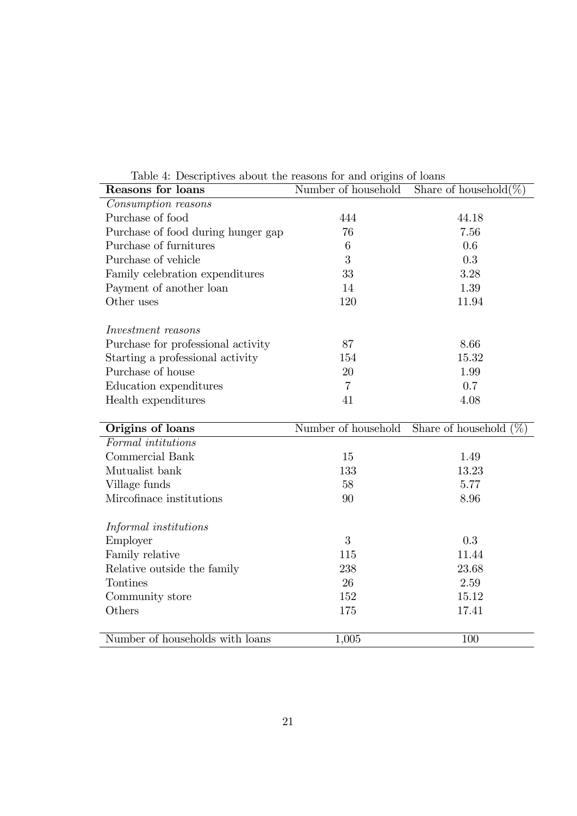| Reasons for loans                  | Number of household | Share of household $(\%)$ |
|------------------------------------|---------------------|---------------------------|
| Consumption reasons                |                     |                           |
| Purchase of food                   | 444                 | 44.18                     |
| Purchase of food during hunger gap | 76                  | 7.56                      |
| Purchase of furnitures             | 6                   | 0.6                       |
| Purchase of vehicle                | 3                   | 0.3                       |
| Family celebration expenditures    | 33                  | 3.28                      |
| Payment of another loan            | 14                  | 1.39                      |
| Other uses                         | 120                 | 11.94                     |
| Investment reasons                 |                     |                           |
| Purchase for professional activity | 87                  | 8.66                      |
| Starting a professional activity   | 154                 | 15.32                     |
| Purchase of house                  | 20                  | 1.99                      |
| Education expenditures             | $\overline{7}$      | 0.7                       |
| Health expenditures                | 41                  | 4.08                      |
|                                    |                     |                           |
|                                    |                     |                           |
| Origins of loans                   | Number of household | Share of household $(\%)$ |
| Formal intitutions                 |                     |                           |
| Commercial Bank                    | 15                  | 1.49                      |
| Mutualist bank                     | 133                 | 13.23                     |
| Village funds                      | 58                  | 5.77                      |
| Mircofinace institutions           | 90                  | 8.96                      |
| Informal institutions              |                     |                           |
| Employer                           | 3                   | 0.3                       |
| Family relative                    | 115                 | 11.44                     |
| Relative outside the family        | 238                 | 23.68                     |
| Tontines                           | 26                  | 2.59                      |
| Community store                    | 152                 | 15.12                     |
| Others                             | 175                 | 17.41                     |

Number of households with loans  $1,005$  100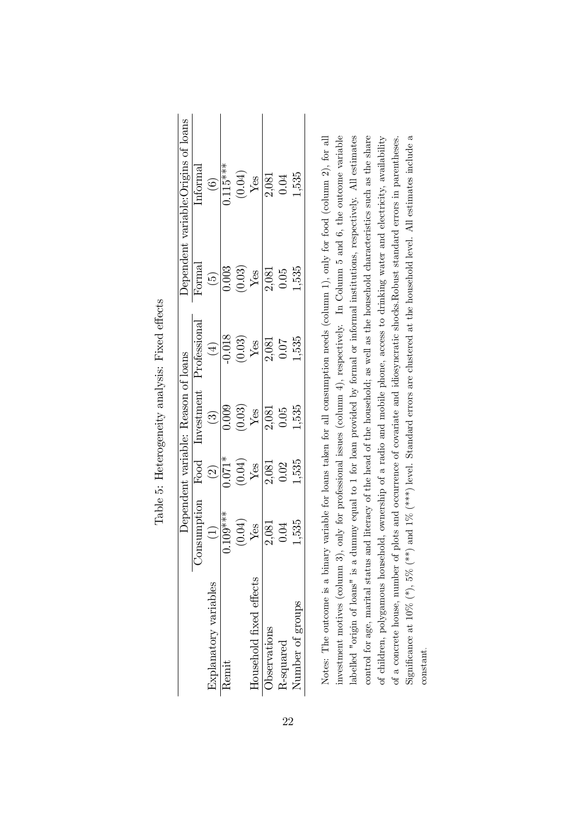|                         |                                |                                                                                                                | Dependent variable: Reason of loans                           |                                                                                                                                                                                      |                                                                       |                                                                                                                           |
|-------------------------|--------------------------------|----------------------------------------------------------------------------------------------------------------|---------------------------------------------------------------|--------------------------------------------------------------------------------------------------------------------------------------------------------------------------------------|-----------------------------------------------------------------------|---------------------------------------------------------------------------------------------------------------------------|
|                         | sumption<br>Con<br>O           | Food                                                                                                           | Investment                                                    | Professional                                                                                                                                                                         |                                                                       | $\frac{\text{Dependent variable:} \text{Origins of loans}}{\text{Normal}}$<br>$\overline{\mathbf{inf}}$ orma <sup>j</sup> |
| Explanatory variables   | $\frac{(1)}{109***}$           | $\frac{(2)}{0.071*}$ $\frac{1}{1000*}$ $\frac{1}{1000*}$ $\frac{1}{1000*}$ $\frac{1}{1000*}$ $\frac{1}{1000*}$ |                                                               |                                                                                                                                                                                      |                                                                       | $\frac{(6)}{0.115***}$                                                                                                    |
| Remit                   |                                |                                                                                                                |                                                               |                                                                                                                                                                                      |                                                                       |                                                                                                                           |
|                         |                                |                                                                                                                |                                                               |                                                                                                                                                                                      |                                                                       |                                                                                                                           |
| Household fixed effects | $\frac{V_{\text{CS}}}{12,081}$ |                                                                                                                | $\frac{(3)}{0.009}$ $\frac{(200)}{0.03}$ $\frac{(300)}{0.05}$ | $\begin{array}{c}\n\begin{array}{c}\n\text{(4)}\\ \text{(1018)}\\ \text{(0.03)}\\ \text{(103)}\\ \text{(101)}\\ \text{(101)}\\ \text{(101)}\\ \text{(101)}\n\end{array} \end{array}$ | $\frac{(5)}{(0.003)}$<br>$\frac{Y_{CS}}{Y_{CS}}$<br>$\frac{1}{2,081}$ | $\begin{array}{c} (0.04) \\ \frac{\text{Yes}}{2,081} \\ 0.04 \end{array}$                                                 |
| Observations            |                                |                                                                                                                |                                                               |                                                                                                                                                                                      |                                                                       |                                                                                                                           |
| R-squared               | 0.04                           |                                                                                                                |                                                               |                                                                                                                                                                                      |                                                                       |                                                                                                                           |
| Number of groups        | 1,535                          | 1,535                                                                                                          | 1,535                                                         | 1,535                                                                                                                                                                                | 1,535                                                                 | 1,535                                                                                                                     |
|                         |                                |                                                                                                                |                                                               |                                                                                                                                                                                      |                                                                       |                                                                                                                           |

Table 5: Heterogeneity analysis: Fixed effects Table 5: Heterogeneity analysis: Fixed effects Notes: The outcome is a binary variable for loans taken for all consumption needs (column 1), only for food (column 2), for all investment motives (column 3), only for professional issues (column 4), respectively. In Column 5 and 6, the outcome variable labelled "origin of loans" is a dummy equal to 1 for loan provided by formal or informal institutions, respectively. All estimates control for age, marital status and literacy of the head of the household; as well as the household characteristics such as the share Significance at 10% (\*), 5% (\*\*) and 1% (\*\*\*) level. Standard errors are clustered at the household level. All estimates include a Significance at  $10\%$  (\*\*),  $5\%$  (\*\*\*) and  $1\%$  (\*\*\*) level. Standard errors are clustered at the household level. All estimates include a of children, polygamous household, ownership of a radio and mobile phone, access to drinking water and electricity, availability of a concrete house, number of plots and occurrence of covariate and idiosyncratic shocks.Robust standard errors in parentheses. Notes: The outcome is a binary variable for loans taken for all consumption needs (column 1), only for food (column 2), for all investment motives (column 3), only for professional issues (column 4), respectively. In Column 5 and 6, the outcome variable labelled "origin of loans" is a dummy equal to 1 for loan provided by formal or informal institutions, respectively. All estimates control for age, marital status and literacy of the head of the household; as well as the household characteristics such as the share of children, polygamous household, ownership of a radio and mobile phone, access to drinking water and electricity, availability of a concrete house, number of plots and occurrence of covariate and idiosyncratic shocks.Robust standard errors in parentheses. constant.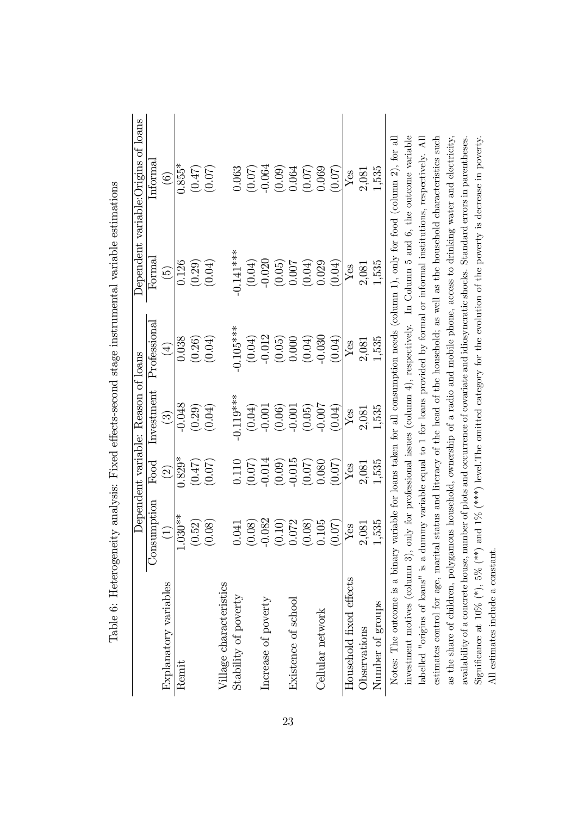|                                                                                                                                         |             |                          | Dependent variable: Reason of loans |              |               | Dependent variable: Origins of loans                                                                 |
|-----------------------------------------------------------------------------------------------------------------------------------------|-------------|--------------------------|-------------------------------------|--------------|---------------|------------------------------------------------------------------------------------------------------|
|                                                                                                                                         | Consumption | Food                     | Investment                          | Professional | $\rm Formal$  | Informa                                                                                              |
| Explanatory variables                                                                                                                   | $\bigoplus$ | $\widehat{\mathfrak{O}}$ | $\widehat{\mathbb{C}}$              | $(\pm)$      | $\widehat{5}$ | $\widehat{\odot}$                                                                                    |
| Remit                                                                                                                                   | $1.030**$   | $0.829*$                 | $-0.048$                            | 0.038        | 0.126         | $0.855*$                                                                                             |
|                                                                                                                                         | (0.52)      | (0.47)                   | (0.29)                              | (0.26)       | (0.29)        | (0.47)                                                                                               |
|                                                                                                                                         | (0.08)      | (0.07)                   | (0.04)                              | (0.04)       | (0.04)        | (0.07)                                                                                               |
| Village characteristics                                                                                                                 |             |                          |                                     |              |               |                                                                                                      |
| Stability of poverty                                                                                                                    | 0.041       | 0.110                    | $-0.119***$                         | $-0.105***$  | $-0.141***$   | 0.063                                                                                                |
|                                                                                                                                         | (0.08)      | (0.07)                   | (0.04)                              | (0.04)       | (0.04)        | (0.07)                                                                                               |
| Increase of poverty                                                                                                                     | $-0.082$    | $-0.014$                 | $-0.001$                            | $-0.012$     | $-0.020$      | $-0.064$                                                                                             |
|                                                                                                                                         | (0.10)      | (0.09)                   | (0.06)                              | (0.05)       | (0.05)        | (0.09)                                                                                               |
| Existence of school                                                                                                                     | 0.072       | $-0.015$                 | $-0.001$                            | 0.000        | 0.007         | 0.064                                                                                                |
|                                                                                                                                         | (0.08)      | (0.07)                   | (0.05)                              | (0.04)       | (0.04)        | (0.07)                                                                                               |
| Cellular network                                                                                                                        | 0.105       | 0.080                    | $-0.007$                            | $-0.030$     | 0.029         | 0.069                                                                                                |
|                                                                                                                                         | (0.07)      | (0.07)                   | (0.04)                              | (0.04)       | (0.04)        | (0.07)                                                                                               |
| Household fixed effects                                                                                                                 | ${\it Yes}$ | Yes                      | Yes                                 | Yes          | Yes           | Yes                                                                                                  |
| Observations                                                                                                                            | 2,081       | 2,081                    | 2,081                               | 2,081        | 2,081         | 2,081                                                                                                |
| Number of groups                                                                                                                        | 1,535       | 1,535                    | 1,535                               | 1,535        | 1,535         | 1,535                                                                                                |
| Notes: The outcome is a binary variable for loans taken for all consumption needs (column 1), only for food (column 2), for all         |             |                          |                                     |              |               |                                                                                                      |
| investment motives (column 3), only for professional issues (column 4), respectively. In Column 5 and 6, the outcome variable           |             |                          |                                     |              |               |                                                                                                      |
| labelled "origins of loans" is a dummy variable equal to 1 for loans provided by formal or informal institutions, respectively. All     |             |                          |                                     |              |               |                                                                                                      |
| estimates control for age, marital                                                                                                      |             |                          |                                     |              |               | status and literacy of the head of the household; as well as the household characteristics such      |
| as the share of children, polygamous household, ownership of a radio and mobile phone, access to drinking water and electricity,        |             |                          |                                     |              |               |                                                                                                      |
| availability of a concrete house, number of plots and occurrence of covariate and idiosyncratic shocks. Standard errors in parentheses. |             |                          |                                     |              |               |                                                                                                      |
| Significance at $10\%$ (*), $5\%$ (**)                                                                                                  |             |                          |                                     |              |               | and $1\%$ (***) level. The omitted category for the evolution of the poverty is decrease in poverty. |
| All estimates include a constant.                                                                                                       |             |                          |                                     |              |               |                                                                                                      |

Table 6: Heterogeneity analysis: Fixed effects-second stage instrumental variable estimations Table 6: Heterogeneity analysis: Fixed effects-second stage instrumental variable estimations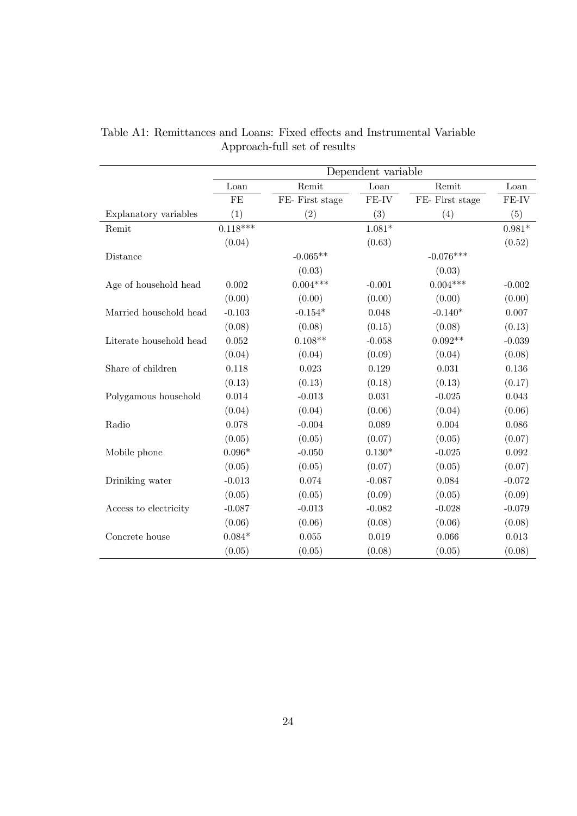|                         | Dependent variable |                 |          |                 |          |  |  |  |
|-------------------------|--------------------|-----------------|----------|-----------------|----------|--|--|--|
|                         | Loan               | Remit           | Loan     | Remit           | Loan     |  |  |  |
|                         | FE                 | FE- First stage | FE-IV    | FE- First stage | FE-IV    |  |  |  |
| Explanatory variables   | (1)                | (2)             | (3)      | (4)             | (5)      |  |  |  |
| Remit                   | $0.118***$         |                 | $1.081*$ |                 | $0.981*$ |  |  |  |
|                         | (0.04)             |                 | (0.63)   |                 | (0.52)   |  |  |  |
| Distance                |                    | $-0.065**$      |          | $-0.076***$     |          |  |  |  |
|                         |                    | (0.03)          |          | (0.03)          |          |  |  |  |
| Age of household head   | 0.002              | $0.004***$      | $-0.001$ | $0.004***$      | $-0.002$ |  |  |  |
|                         | (0.00)             | (0.00)          | (0.00)   | (0.00)          | (0.00)   |  |  |  |
| Married household head  | $-0.103$           | $-0.154*$       | 0.048    | $-0.140*$       | 0.007    |  |  |  |
|                         | (0.08)             | (0.08)          | (0.15)   | (0.08)          | (0.13)   |  |  |  |
| Literate household head | 0.052              | $0.108**$       | $-0.058$ | $0.092**$       | $-0.039$ |  |  |  |
|                         | (0.04)             | (0.04)          | (0.09)   | (0.04)          | (0.08)   |  |  |  |
| Share of children       | 0.118              | 0.023           | 0.129    | 0.031           | 0.136    |  |  |  |
|                         | (0.13)             | (0.13)          | (0.18)   | (0.13)          | (0.17)   |  |  |  |
| Polygamous household    | 0.014              | $-0.013$        | 0.031    | $-0.025$        | 0.043    |  |  |  |
|                         | (0.04)             | (0.04)          | (0.06)   | (0.04)          | (0.06)   |  |  |  |
| Radio                   | 0.078              | $-0.004$        | 0.089    | 0.004           | 0.086    |  |  |  |
|                         | (0.05)             | (0.05)          | (0.07)   | (0.05)          | (0.07)   |  |  |  |
| Mobile phone            | $0.096*$           | $-0.050$        | $0.130*$ | $-0.025$        | 0.092    |  |  |  |
|                         | (0.05)             | (0.05)          | (0.07)   | (0.05)          | (0.07)   |  |  |  |
| Driniking water         | $-0.013$           | 0.074           | $-0.087$ | 0.084           | $-0.072$ |  |  |  |
|                         | (0.05)             | (0.05)          | (0.09)   | (0.05)          | (0.09)   |  |  |  |
| Access to electricity   | $-0.087$           | $-0.013$        | $-0.082$ | $-0.028$        | $-0.079$ |  |  |  |
|                         | (0.06)             | (0.06)          | (0.08)   | (0.06)          | (0.08)   |  |  |  |
| Concrete house          | $0.084*$           | 0.055           | 0.019    | 0.066           | 0.013    |  |  |  |
|                         | (0.05)             | (0.05)          | (0.08)   | (0.05)          | (0.08)   |  |  |  |

Table A1: Remittances and Loans: Fixed effects and Instrumental Variable Approach-full set of results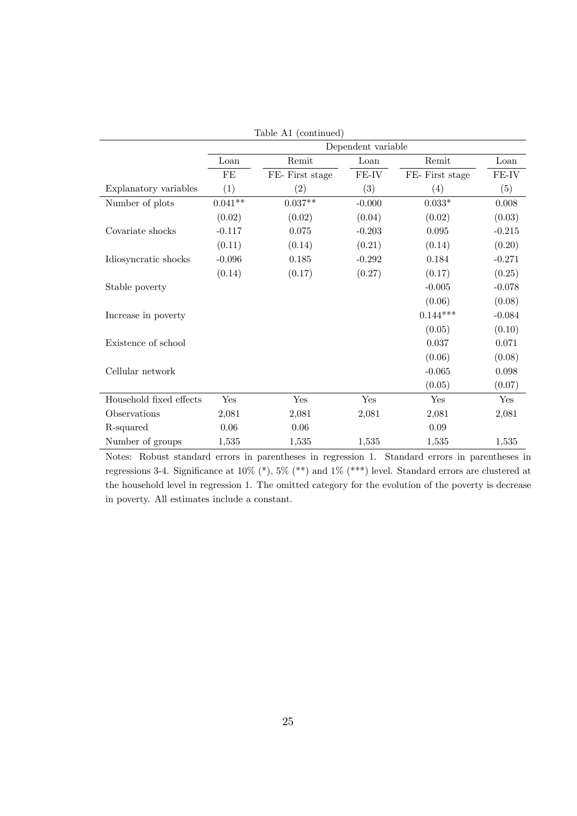|                         |           |                 | Dependent variable |                 |          |
|-------------------------|-----------|-----------------|--------------------|-----------------|----------|
|                         | Loan      | Remit           | Loan               | Remit           | Loan     |
|                         | FE        | FE- First stage | FE-IV              | FE- First stage | FE-IV    |
| Explanatory variables   | (1)       | (2)             | $\left( 3\right)$  | (4)             | (5)      |
| Number of plots         | $0.041**$ | $0.037**$       | $-0.000$           | $0.033*$        | 0.008    |
|                         | (0.02)    | (0.02)          | (0.04)             | (0.02)          | (0.03)   |
| Covariate shocks        | $-0.117$  | 0.075           | $-0.203$           | 0.095           | $-0.215$ |
|                         | (0.11)    | (0.14)          | (0.21)             | (0.14)          | (0.20)   |
| Idiosyncratic shocks    | $-0.096$  | 0.185           | $-0.292$           | 0.184           | $-0.271$ |
|                         | (0.14)    | (0.17)          | (0.27)             | (0.17)          | (0.25)   |
| Stable poverty          |           |                 |                    | $-0.005$        | $-0.078$ |
|                         |           |                 |                    | (0.06)          | (0.08)   |
| Increase in poverty     |           |                 |                    | $0.144***$      | $-0.084$ |
|                         |           |                 |                    | (0.05)          | (0.10)   |
| Existence of school     |           |                 |                    | 0.037           | 0.071    |
|                         |           |                 |                    | (0.06)          | (0.08)   |
| Cellular network        |           |                 |                    | $-0.065$        | 0.098    |
|                         |           |                 |                    | (0.05)          | (0.07)   |
| Household fixed effects | Yes       | Yes             | Yes                | Yes             | Yes      |
| Observations            | 2,081     | 2,081           | 2,081              | 2,081           | 2,081    |
| R-squared               | 0.06      | 0.06            |                    | 0.09            |          |
| Number of groups        | 1,535     | 1,535           | 1,535              | 1,535           | 1,535    |

Table A1 (continued)

Notes: Robust standard errors in parentheses in regression 1. Standard errors in parentheses in regressions 3-4. Significance at  $10\%$  (\*),  $5\%$  (\*\*) and  $1\%$  (\*\*\*) level. Standard errors are clustered at the household level in regression 1. The omitted category for the evolution of the poverty is decrease in poverty. All estimates include a constant.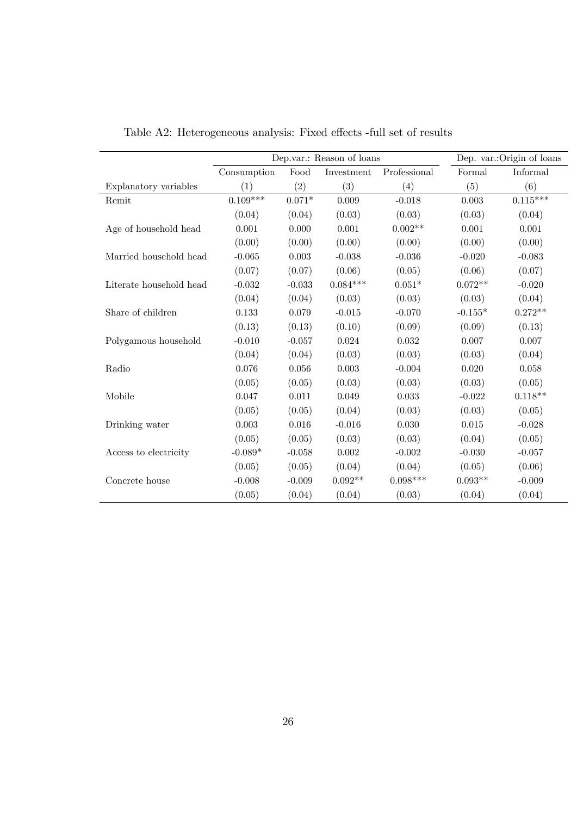|                         |             |          | Dep.var.: Reason of loans |              |           | Dep. var.: Origin of loans |
|-------------------------|-------------|----------|---------------------------|--------------|-----------|----------------------------|
|                         | Consumption | Food     | Investment                | Professional | Formal    | Informal                   |
| Explanatory variables   | (1)         | (2)      | (3)                       | (4)          | (5)       | (6)                        |
| Remit                   | $0.109***$  | $0.071*$ | 0.009                     | $-0.018$     | 0.003     | $0.115^{\ast\ast\ast}$     |
|                         | (0.04)      | (0.04)   | (0.03)                    | (0.03)       | (0.03)    | (0.04)                     |
| Age of household head   | 0.001       | 0.000    | 0.001                     | $0.002**$    | 0.001     | 0.001                      |
|                         | (0.00)      | (0.00)   | (0.00)                    | (0.00)       | (0.00)    | (0.00)                     |
| Married household head  | $-0.065$    | 0.003    | $-0.038$                  | $-0.036$     | $-0.020$  | $-0.083$                   |
|                         | (0.07)      | (0.07)   | (0.06)                    | (0.05)       | (0.06)    | (0.07)                     |
| Literate household head | $-0.032$    | $-0.033$ | $0.084***$                | $0.051*$     | $0.072**$ | $-0.020$                   |
|                         | (0.04)      | (0.04)   | (0.03)                    | (0.03)       | (0.03)    | (0.04)                     |
| Share of children       | 0.133       | 0.079    | $-0.015$                  | $-0.070$     | $-0.155*$ | $0.272**$                  |
|                         | (0.13)      | (0.13)   | (0.10)                    | (0.09)       | (0.09)    | (0.13)                     |
| Polygamous household    | $-0.010$    | $-0.057$ | 0.024                     | 0.032        | 0.007     | 0.007                      |
|                         | (0.04)      | (0.04)   | (0.03)                    | (0.03)       | (0.03)    | (0.04)                     |
| Radio                   | 0.076       | 0.056    | 0.003                     | $-0.004$     | 0.020     | 0.058                      |
|                         | (0.05)      | (0.05)   | (0.03)                    | (0.03)       | (0.03)    | (0.05)                     |
| Mobile                  | 0.047       | 0.011    | 0.049                     | 0.033        | $-0.022$  | $0.118^{\ast\ast}$         |
|                         | (0.05)      | (0.05)   | (0.04)                    | (0.03)       | (0.03)    | (0.05)                     |
| Drinking water          | 0.003       | 0.016    | $-0.016$                  | 0.030        | 0.015     | $-0.028$                   |
|                         | (0.05)      | (0.05)   | (0.03)                    | (0.03)       | (0.04)    | (0.05)                     |
| Access to electricity   | $-0.089*$   | $-0.058$ | 0.002                     | $-0.002$     | $-0.030$  | $-0.057$                   |
|                         | (0.05)      | (0.05)   | (0.04)                    | (0.04)       | (0.05)    | (0.06)                     |
| Concrete house          | $-0.008$    | $-0.009$ | $0.092**$                 | $0.098***$   | $0.093**$ | $-0.009$                   |
|                         | (0.05)      | (0.04)   | (0.04)                    | (0.03)       | (0.04)    | (0.04)                     |

Table A2: Heterogeneous analysis: Fixed effects -full set of results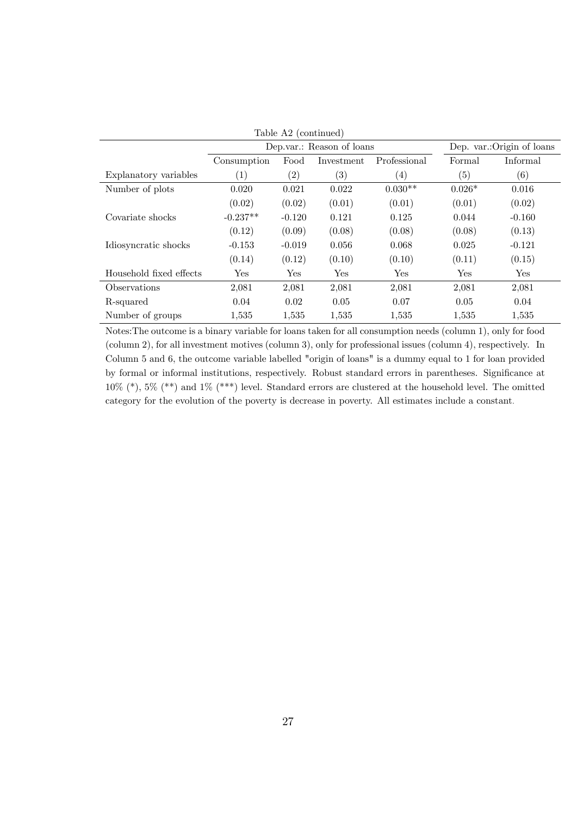| Table A2 (continued)    |                   |                           |                            |                   |          |          |  |
|-------------------------|-------------------|---------------------------|----------------------------|-------------------|----------|----------|--|
|                         |                   | Dep.var.: Reason of loans | Dep. var.: Origin of loans |                   |          |          |  |
|                         | Consumption       | Food                      | Investment                 | Professional      | Formal   | Informal |  |
| Explanatory variables   | $\left( 1\right)$ | $\left( 2\right)$         | $\left( 3\right)$          | $\left( 4\right)$ | (5)      | (6)      |  |
| Number of plots         | 0.020             | 0.021                     | 0.022                      | $0.030**$         | $0.026*$ | 0.016    |  |
|                         | (0.02)            | (0.02)                    | (0.01)                     | (0.01)            | (0.01)   | (0.02)   |  |
| Covariate shocks        | $-0.237**$        | $-0.120$                  | 0.121                      | 0.125             | 0.044    | $-0.160$ |  |
|                         | (0.12)            | (0.09)                    | (0.08)                     | (0.08)            | (0.08)   | (0.13)   |  |
| Idiosyncratic shocks    | $-0.153$          | $-0.019$                  | 0.056                      | 0.068             | 0.025    | $-0.121$ |  |
|                         | (0.14)            | (0.12)                    | (0.10)                     | (0.10)            | (0.11)   | (0.15)   |  |
| Household fixed effects | Yes               | Yes                       | Yes                        | Yes               | Yes      | Yes      |  |
| Observations            | 2,081             | 2,081                     | 2,081                      | 2,081             | 2,081    | 2,081    |  |
| R-squared               | 0.04              | 0.02                      | 0.05                       | 0.07              | 0.05     | 0.04     |  |
| Number of groups        | 1,535             | 1,535                     | 1,535                      | 1,535             | 1,535    | 1,535    |  |

Notes:The outcome is a binary variable for loans taken for all consumption needs (column 1), only for food (column 2), for all investment motives (column 3), only for professional issues (column 4), respectively. In Column 5 and 6, the outcome variable labelled "origin of loans" is a dummy equal to 1 for loan provided by formal or informal institutions, respectively. Robust standard errors in parentheses. Significance at 10% (\*), 5% (\*\*) and 1% (\*\*\*) level. Standard errors are clustered at the household level. The omitted category for the evolution of the poverty is decrease in poverty. All estimates include a constant.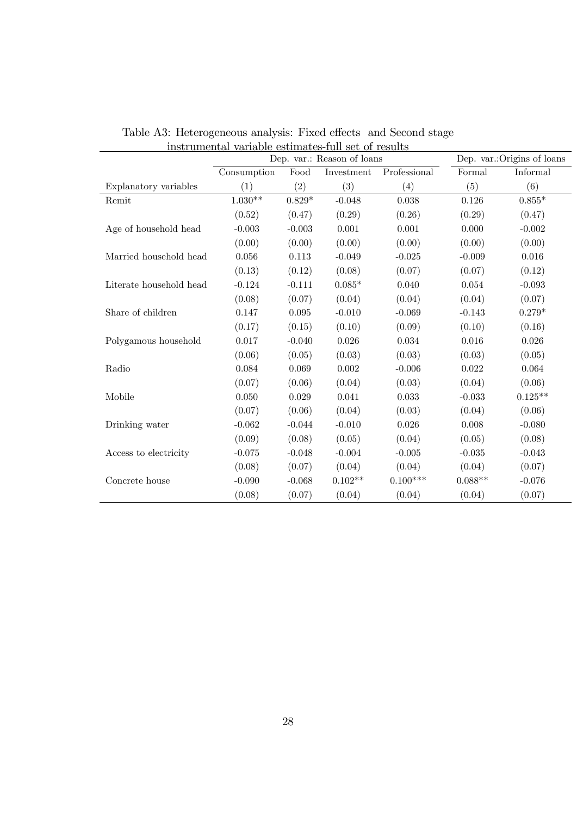|                         | Dep. var.: Reason of loans |          |            |              | Dep. var.: Origins of loans |           |
|-------------------------|----------------------------|----------|------------|--------------|-----------------------------|-----------|
|                         | Consumption                | Food     | Investment | Professional | Formal                      | Informal  |
| Explanatory variables   | (1)                        | (2)      | (3)        | (4)          | (5)                         | (6)       |
| Remit                   | $1.030**$                  | $0.829*$ | $-0.048$   | 0.038        | 0.126                       | $0.855*$  |
|                         | (0.52)                     | (0.47)   | (0.29)     | (0.26)       | (0.29)                      | (0.47)    |
| Age of household head   | $-0.003$                   | $-0.003$ | 0.001      | 0.001        | 0.000                       | $-0.002$  |
|                         | (0.00)                     | (0.00)   | (0.00)     | (0.00)       | (0.00)                      | (0.00)    |
| Married household head  | 0.056                      | 0.113    | $-0.049$   | $-0.025$     | $-0.009$                    | 0.016     |
|                         | (0.13)                     | (0.12)   | (0.08)     | (0.07)       | (0.07)                      | (0.12)    |
| Literate household head | $-0.124$                   | $-0.111$ | $0.085*$   | 0.040        | 0.054                       | $-0.093$  |
|                         | (0.08)                     | (0.07)   | (0.04)     | (0.04)       | (0.04)                      | (0.07)    |
| Share of children       | 0.147                      | 0.095    | $-0.010$   | $-0.069$     | $-0.143$                    | $0.279*$  |
|                         | (0.17)                     | (0.15)   | (0.10)     | (0.09)       | (0.10)                      | (0.16)    |
| Polygamous household    | 0.017                      | $-0.040$ | 0.026      | 0.034        | 0.016                       | 0.026     |
|                         | (0.06)                     | (0.05)   | (0.03)     | (0.03)       | (0.03)                      | (0.05)    |
| Radio                   | 0.084                      | 0.069    | 0.002      | $-0.006$     | 0.022                       | 0.064     |
|                         | (0.07)                     | (0.06)   | (0.04)     | (0.03)       | (0.04)                      | (0.06)    |
| Mobile                  | 0.050                      | 0.029    | 0.041      | 0.033        | $-0.033$                    | $0.125**$ |
|                         | (0.07)                     | (0.06)   | (0.04)     | (0.03)       | (0.04)                      | (0.06)    |
| Drinking water          | $-0.062$                   | $-0.044$ | $-0.010$   | 0.026        | 0.008                       | $-0.080$  |
|                         | (0.09)                     | (0.08)   | (0.05)     | (0.04)       | (0.05)                      | (0.08)    |
| Access to electricity   | $-0.075$                   | $-0.048$ | $-0.004$   | $-0.005$     | $-0.035$                    | $-0.043$  |
|                         | (0.08)                     | (0.07)   | (0.04)     | (0.04)       | (0.04)                      | (0.07)    |
| Concrete house          | $-0.090$                   | $-0.068$ | $0.102**$  | $0.100***$   | $0.088^{\ast\ast}$          | $-0.076$  |
|                         | (0.08)                     | (0.07)   | (0.04)     | (0.04)       | (0.04)                      | (0.07)    |

Table A3: Heterogeneous analysis: Fixed effects and Second stage instrumental variable estimates-full set of results